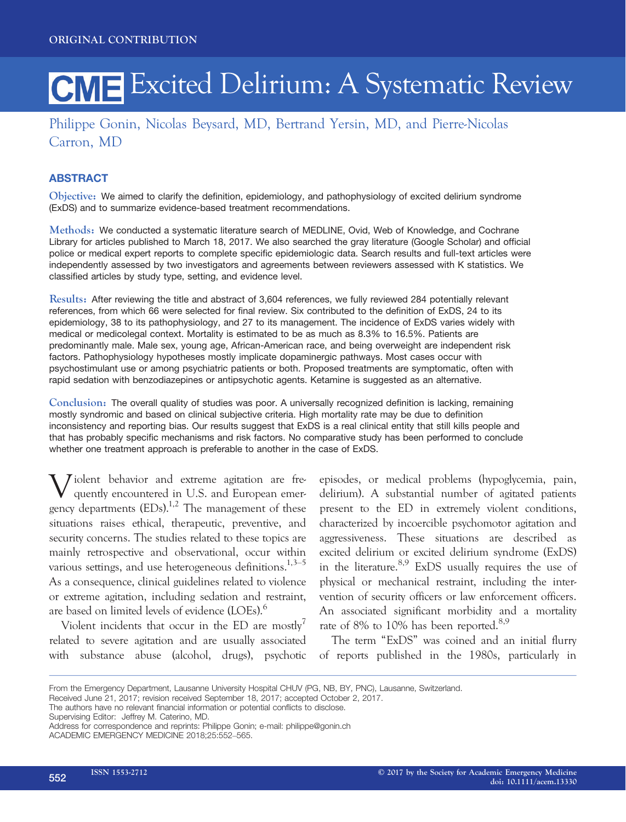# CME Excited Delirium: A Systematic Review

## Philippe Gonin, Nicolas Beysard, MD, Bertrand Yersin, MD, and Pierre-Nicolas Carron, MD

## **ABSTRACT**

Objective: We aimed to clarify the definition, epidemiology, and pathophysiology of excited delirium syndrome (ExDS) and to summarize evidence-based treatment recommendations.

Methods: We conducted a systematic literature search of MEDLINE, Ovid, Web of Knowledge, and Cochrane Library for articles published to March 18, 2017. We also searched the gray literature (Google Scholar) and official police or medical expert reports to complete specific epidemiologic data. Search results and full-text articles were independently assessed by two investigators and agreements between reviewers assessed with K statistics. We classified articles by study type, setting, and evidence level.

Results: After reviewing the title and abstract of 3,604 references, we fully reviewed 284 potentially relevant references, from which 66 were selected for final review. Six contributed to the definition of ExDS, 24 to its epidemiology, 38 to its pathophysiology, and 27 to its management. The incidence of ExDS varies widely with medical or medicolegal context. Mortality is estimated to be as much as 8.3% to 16.5%. Patients are predominantly male. Male sex, young age, African-American race, and being overweight are independent risk factors. Pathophysiology hypotheses mostly implicate dopaminergic pathways. Most cases occur with psychostimulant use or among psychiatric patients or both. Proposed treatments are symptomatic, often with rapid sedation with benzodiazepines or antipsychotic agents. Ketamine is suggested as an alternative.

Conclusion: The overall quality of studies was poor. A universally recognized definition is lacking, remaining mostly syndromic and based on clinical subjective criteria. High mortality rate may be due to definition inconsistency and reporting bias. Our results suggest that ExDS is a real clinical entity that still kills people and that has probably specific mechanisms and risk factors. No comparative study has been performed to conclude whether one treatment approach is preferable to another in the case of ExDS.

Violent behavior and extreme agitation are frequently encountered in U.S. and European emerquently encountered in U.S. and European emergency departments  $(EDs).<sup>1,2</sup>$  The management of these situations raises ethical, therapeutic, preventive, and security concerns. The studies related to these topics are mainly retrospective and observational, occur within various settings, and use heterogeneous definitions.<sup>1,3–5</sup> As a consequence, clinical guidelines related to violence or extreme agitation, including sedation and restraint, are based on limited levels of evidence (LOEs).<sup>6</sup>

Violent incidents that occur in the ED are mostly<sup>7</sup> related to severe agitation and are usually associated with substance abuse (alcohol, drugs), psychotic episodes, or medical problems (hypoglycemia, pain, delirium). A substantial number of agitated patients present to the ED in extremely violent conditions, characterized by incoercible psychomotor agitation and aggressiveness. These situations are described as excited delirium or excited delirium syndrome (ExDS) in the literature.  $8.9$  ExDS usually requires the use of physical or mechanical restraint, including the intervention of security officers or law enforcement officers. An associated significant morbidity and a mortality rate of 8% to 10% has been reported.<sup>8,9</sup>

The term "ExDS" was coined and an initial flurry of reports published in the 1980s, particularly in

Supervising Editor: Jeffrey M. Caterino, MD.

From the Emergency Department, Lausanne University Hospital CHUV (PG, NB, BY, PNC), Lausanne, Switzerland.

Received June 21, 2017; revision received September 18, 2017; accepted October 2, 2017.

The authors have no relevant financial information or potential conflicts to disclose.

Address for correspondence and reprints: Philippe Gonin; e-mail: philippe@gonin.ch ACADEMIC EMERGENCY MEDICINE 2018;25:552–565.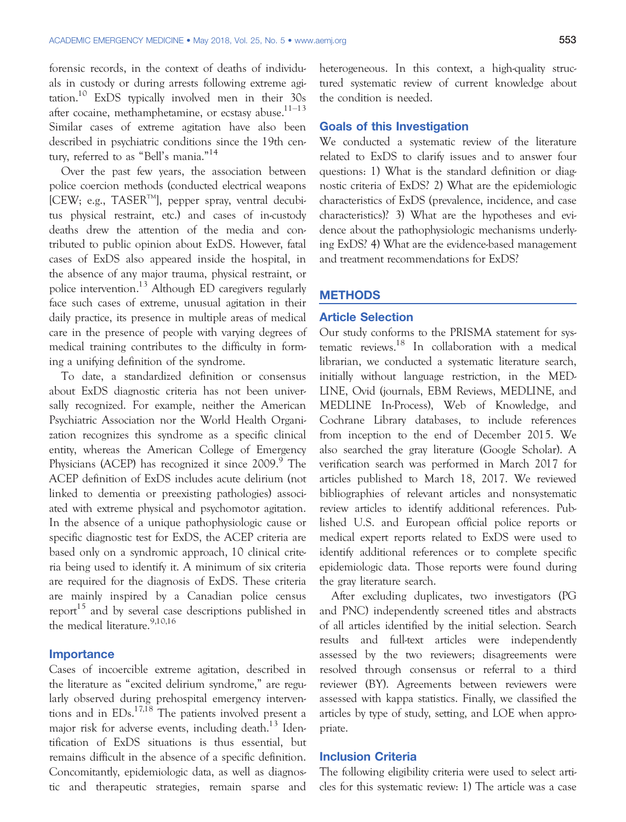forensic records, in the context of deaths of individuals in custody or during arrests following extreme agitation.<sup>10</sup> ExDS typically involved men in their 30s after cocaine, methamphetamine, or ecstasy abuse. $1^{1-13}$ Similar cases of extreme agitation have also been described in psychiatric conditions since the 19th century, referred to as "Bell's mania." 14

Over the past few years, the association between police coercion methods (conducted electrical weapons  $[CEW; e.g., TASER<sup>TM</sup>]$ , pepper spray, ventral decubitus physical restraint, etc.) and cases of in-custody deaths drew the attention of the media and contributed to public opinion about ExDS. However, fatal cases of ExDS also appeared inside the hospital, in the absence of any major trauma, physical restraint, or police intervention.<sup>13</sup> Although ED caregivers regularly face such cases of extreme, unusual agitation in their daily practice, its presence in multiple areas of medical care in the presence of people with varying degrees of medical training contributes to the difficulty in forming a unifying definition of the syndrome.

To date, a standardized definition or consensus about ExDS diagnostic criteria has not been universally recognized. For example, neither the American Psychiatric Association nor the World Health Organization recognizes this syndrome as a specific clinical entity, whereas the American College of Emergency Physicians (ACEP) has recognized it since 2009.<sup>9</sup> The ACEP definition of ExDS includes acute delirium (not linked to dementia or preexisting pathologies) associated with extreme physical and psychomotor agitation. In the absence of a unique pathophysiologic cause or specific diagnostic test for ExDS, the ACEP criteria are based only on a syndromic approach, 10 clinical criteria being used to identify it. A minimum of six criteria are required for the diagnosis of ExDS. These criteria are mainly inspired by a Canadian police census report<sup>15</sup> and by several case descriptions published in the medical literature.<sup>9,10,16</sup>

#### **Importance**

Cases of incoercible extreme agitation, described in the literature as "excited delirium syndrome," are regularly observed during prehospital emergency interventions and in  $EDs$ <sup>17,18</sup> The patients involved present a major risk for adverse events, including death.<sup>13</sup> Identification of ExDS situations is thus essential, but remains difficult in the absence of a specific definition. Concomitantly, epidemiologic data, as well as diagnostic and therapeutic strategies, remain sparse and heterogeneous. In this context, a high-quality structured systematic review of current knowledge about the condition is needed.

#### Goals of this Investigation

We conducted a systematic review of the literature related to ExDS to clarify issues and to answer four questions: 1) What is the standard definition or diagnostic criteria of ExDS? 2) What are the epidemiologic characteristics of ExDS (prevalence, incidence, and case characteristics)? 3) What are the hypotheses and evidence about the pathophysiologic mechanisms underlying ExDS? 4) What are the evidence-based management and treatment recommendations for ExDS?

#### **METHODS**

#### Article Selection

Our study conforms to the PRISMA statement for systematic reviews.<sup>18</sup> In collaboration with a medical librarian, we conducted a systematic literature search, initially without language restriction, in the MED-LINE, Ovid (journals, EBM Reviews, MEDLINE, and MEDLINE In-Process), Web of Knowledge, and Cochrane Library databases, to include references from inception to the end of December 2015. We also searched the gray literature (Google Scholar). A verification search was performed in March 2017 for articles published to March 18, 2017. We reviewed bibliographies of relevant articles and nonsystematic review articles to identify additional references. Published U.S. and European official police reports or medical expert reports related to ExDS were used to identify additional references or to complete specific epidemiologic data. Those reports were found during the gray literature search.

After excluding duplicates, two investigators (PG and PNC) independently screened titles and abstracts of all articles identified by the initial selection. Search results and full-text articles were independently assessed by the two reviewers; disagreements were resolved through consensus or referral to a third reviewer (BY). Agreements between reviewers were assessed with kappa statistics. Finally, we classified the articles by type of study, setting, and LOE when appropriate.

#### Inclusion Criteria

The following eligibility criteria were used to select articles for this systematic review: 1) The article was a case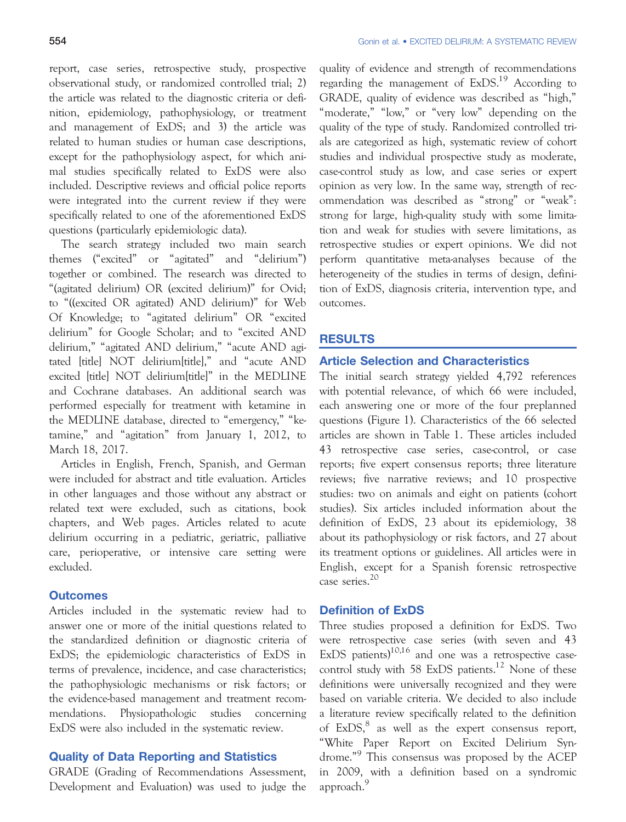report, case series, retrospective study, prospective observational study, or randomized controlled trial; 2) the article was related to the diagnostic criteria or definition, epidemiology, pathophysiology, or treatment and management of ExDS; and 3) the article was related to human studies or human case descriptions, except for the pathophysiology aspect, for which animal studies specifically related to ExDS were also included. Descriptive reviews and official police reports were integrated into the current review if they were specifically related to one of the aforementioned ExDS questions (particularly epidemiologic data).

The search strategy included two main search themes ("excited" or "agitated" and "delirium") together or combined. The research was directed to "(agitated delirium) OR (excited delirium)" for Ovid; to "((excited OR agitated) AND delirium)" for Web Of Knowledge; to "agitated delirium" OR "excited delirium" for Google Scholar; and to "excited AND delirium," "agitated AND delirium," "acute AND agitated [title] NOT delirium[title]," and "acute AND excited [title] NOT delirium[title]" in the MEDLINE and Cochrane databases. An additional search was performed especially for treatment with ketamine in the MEDLINE database, directed to "emergency," "ketamine," and "agitation" from January 1, 2012, to March 18, 2017.

Articles in English, French, Spanish, and German were included for abstract and title evaluation. Articles in other languages and those without any abstract or related text were excluded, such as citations, book chapters, and Web pages. Articles related to acute delirium occurring in a pediatric, geriatric, palliative care, perioperative, or intensive care setting were excluded.

## **Outcomes**

Articles included in the systematic review had to answer one or more of the initial questions related to the standardized definition or diagnostic criteria of ExDS; the epidemiologic characteristics of ExDS in terms of prevalence, incidence, and case characteristics; the pathophysiologic mechanisms or risk factors; or the evidence-based management and treatment recommendations. Physiopathologic studies concerning ExDS were also included in the systematic review.

#### Quality of Data Reporting and Statistics

GRADE (Grading of Recommendations Assessment, Development and Evaluation) was used to judge the quality of evidence and strength of recommendations regarding the management of  $ExDS<sup>19</sup>$  According to GRADE, quality of evidence was described as "high," "moderate," "low," or "very low" depending on the quality of the type of study. Randomized controlled trials are categorized as high, systematic review of cohort studies and individual prospective study as moderate, case-control study as low, and case series or expert opinion as very low. In the same way, strength of recommendation was described as "strong" or "weak": strong for large, high-quality study with some limitation and weak for studies with severe limitations, as retrospective studies or expert opinions. We did not perform quantitative meta-analyses because of the heterogeneity of the studies in terms of design, definition of ExDS, diagnosis criteria, intervention type, and outcomes.

#### RESULTS

#### Article Selection and Characteristics

The initial search strategy yielded 4,792 references with potential relevance, of which 66 were included, each answering one or more of the four preplanned questions (Figure 1). Characteristics of the 66 selected articles are shown in Table 1. These articles included 43 retrospective case series, case-control, or case reports; five expert consensus reports; three literature reviews; five narrative reviews; and 10 prospective studies: two on animals and eight on patients (cohort studies). Six articles included information about the definition of ExDS, 23 about its epidemiology, 38 about its pathophysiology or risk factors, and 27 about its treatment options or guidelines. All articles were in English, except for a Spanish forensic retrospective case series.<sup>20</sup>

#### Definition of ExDS

Three studies proposed a definition for ExDS. Two were retrospective case series (with seven and 43 ExDS patients) $10,16$  and one was a retrospective casecontrol study with 58 ExDS patients.<sup>12</sup> None of these definitions were universally recognized and they were based on variable criteria. We decided to also include a literature review specifically related to the definition of ExDS,<sup>8</sup> as well as the expert consensus report, "White Paper Report on Excited Delirium Syndrome." 9 This consensus was proposed by the ACEP in 2009, with a definition based on a syndromic approach.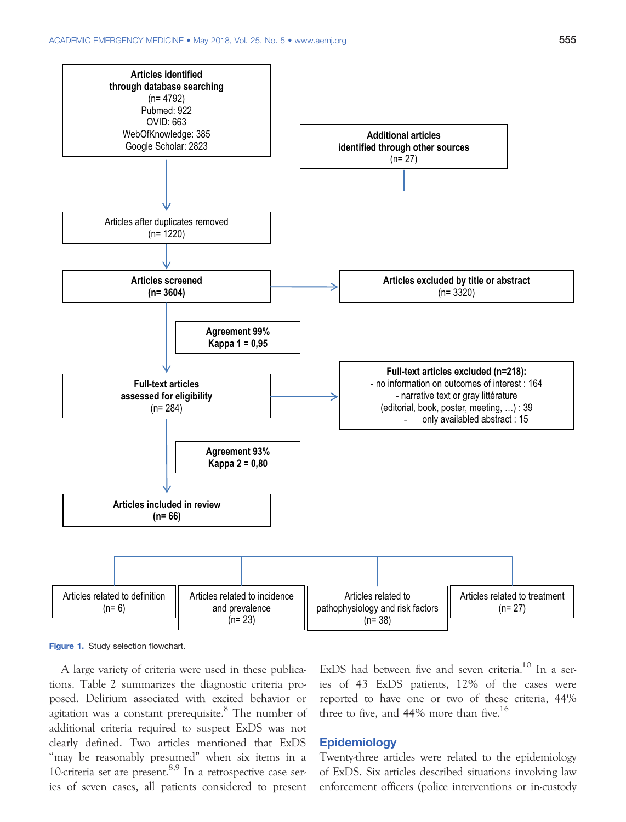

Figure 1. Study selection flowchart.

A large variety of criteria were used in these publications. Table 2 summarizes the diagnostic criteria proposed. Delirium associated with excited behavior or agitation was a constant prerequisite.<sup>8</sup> The number of additional criteria required to suspect ExDS was not clearly defined. Two articles mentioned that ExDS "may be reasonably presumed" when six items in a 10-criteria set are present. $8,9$  In a retrospective case series of seven cases, all patients considered to present ExDS had between five and seven criteria.<sup>10</sup> In a series of 43 ExDS patients, 12% of the cases were reported to have one or two of these criteria, 44% three to five, and  $44\%$  more than five.<sup>16</sup>

#### Epidemiology

Twenty-three articles were related to the epidemiology of ExDS. Six articles described situations involving law enforcement officers (police interventions or in-custody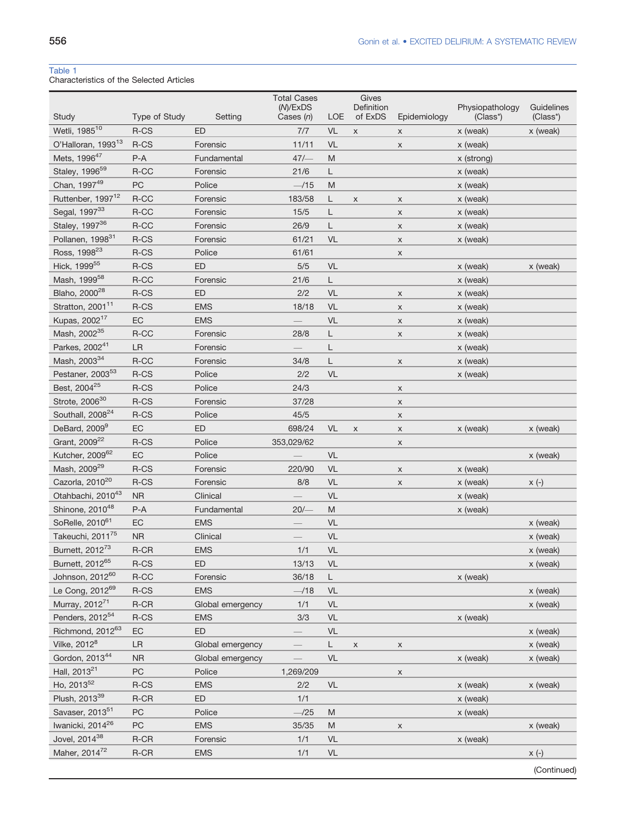## Table 1

Characteristics of the Selected Articles

| Wetli, 1985 <sup>10</sup><br>R-CS<br>ED<br>VL<br>7/7<br>$\mathsf X$<br>x (weak)<br>x (weak)<br>X<br>O'Halloran, 1993 <sup>13</sup><br>R-CS<br>11/11<br><b>VL</b><br>Forensic<br>x (weak)<br>X<br>Mets, 1996 <sup>47</sup><br>$P-A$<br>47/<br>M<br>Fundamental<br>x (strong)<br>Staley, 1996 <sup>59</sup><br>R-CC<br>Forensic<br>21/6<br>L<br>x (weak)<br>Chan, 1997 <sup>49</sup><br>PC<br>Police<br>$-115$<br>M<br>x (weak)<br>Ruttenber, 1997 <sup>12</sup><br>$R-CC$<br>183/58<br>Forensic<br>L<br>x (weak)<br>X<br>X<br>Segal, 199733<br>R-CC<br>15/5<br>Forensic<br>L<br>x (weak)<br>$\mathsf{x}$<br>Staley, 1997 <sup>36</sup><br>R-CC<br>26/9<br>Г<br>Forensic<br>X<br>x (weak)<br>Pollanen, 1998 <sup>31</sup><br>R-CS<br>VL<br>Forensic<br>61/21<br>x (weak)<br>X<br>Ross, 1998 <sup>23</sup><br>R-CS<br>Police<br>61/61<br>X<br>Hick, 1999 <sup>55</sup><br>ED<br>5/5<br>VL<br>R-CS<br>x (weak)<br>x (weak)<br>Mash, 1999 <sup>58</sup><br>R-CC<br>Forensic<br>L<br>21/6<br>x (weak)<br>Blaho, 2000 <sup>28</sup><br>R-CS<br>ED<br>2/2<br>VL<br>x (weak)<br>X<br>Stratton, 2001 <sup>11</sup><br><b>VL</b><br>R-CS<br><b>EMS</b><br>18/18<br>x (weak)<br>$\mathsf{x}$<br>Kupas, 2002 <sup>17</sup><br>EC<br><b>EMS</b><br>VL<br>X<br>x (weak)<br>Mash, 2002 <sup>35</sup><br>R-CC<br>28/8<br>Forensic<br>L<br>x (weak)<br>X<br>Parkes, 2002 <sup>41</sup><br>LR<br>Forensic<br>L<br>x (weak)<br>Mash, 2003 <sup>34</sup><br>R-CC<br>Forensic<br>34/8<br>Г<br>x (weak)<br>X<br>Pestaner, 2003 <sup>53</sup><br>R-CS<br>Police<br>2/2<br><b>VL</b><br>x (weak)<br>Best, 2004 <sup>25</sup><br>R-CS<br>Police<br>24/3<br>X<br>Strote, 2006 <sup>30</sup><br>R-CS<br>Forensic<br>37/28<br>X<br>Southall, 2008 <sup>24</sup><br>R-CS<br>Police<br>45/5<br>X<br>DeBard, 2009 <sup>9</sup><br>EC<br>ED<br>698/24<br>VL<br>x (weak)<br>x (weak)<br>$\pmb{\times}$<br>X<br>Grant, 2009 <sup>22</sup><br>R-CS<br>Police<br>353,029/62<br>X<br>Kutcher, 2009 <sup>62</sup><br>EC<br>VL<br>Police<br>x (weak)<br>Mash, 2009 <sup>29</sup><br>R-CS<br>Forensic<br>220/90<br>VL<br>x (weak)<br>X<br>Cazorla, 2010 <sup>20</sup><br><b>VL</b><br>R-CS<br>8/8<br>Forensic<br>$x(-)$<br>x (weak)<br>X<br>Otahbachi, 2010 <sup>43</sup><br><b>NR</b><br>VL<br>Clinical<br>x (weak)<br>Shinone, 2010 <sup>48</sup><br>$20/-$<br>$P-A$<br>M<br>Fundamental<br>x (weak)<br>SoRelle, 2010 <sup>61</sup><br>EC<br><b>EMS</b><br>VL<br>x (weak)<br>Takeuchi, 2011 <sup>75</sup><br><b>NR</b><br>VL<br>Clinical<br>x (weak)<br>Burnett, 2012 <sup>73</sup><br>R-CR<br>1/1<br>VL<br><b>EMS</b><br>x (weak)<br>Burnett, 2012 <sup>bb</sup><br>R-CS<br>ED<br>13/13<br>VL<br>x (weak)<br>Johnson, 2012 <sup>60</sup><br>R-CC<br>36/18<br>x (weak)<br>Forensic<br>L.<br>Le Cong, 2012 <sup>69</sup><br>$R$ -CS<br><b>EMS</b><br>VL<br>$-118$<br>x (weak) | Study | Type of Study | Setting | <b>Total Cases</b><br>(M)/ExDS<br>Cases $(n)$ | LOE | Gives<br>Definition<br>of ExDS | Epidemiology | Physiopathology<br>(Class*) | Guidelines<br>(Class*) |
|---------------------------------------------------------------------------------------------------------------------------------------------------------------------------------------------------------------------------------------------------------------------------------------------------------------------------------------------------------------------------------------------------------------------------------------------------------------------------------------------------------------------------------------------------------------------------------------------------------------------------------------------------------------------------------------------------------------------------------------------------------------------------------------------------------------------------------------------------------------------------------------------------------------------------------------------------------------------------------------------------------------------------------------------------------------------------------------------------------------------------------------------------------------------------------------------------------------------------------------------------------------------------------------------------------------------------------------------------------------------------------------------------------------------------------------------------------------------------------------------------------------------------------------------------------------------------------------------------------------------------------------------------------------------------------------------------------------------------------------------------------------------------------------------------------------------------------------------------------------------------------------------------------------------------------------------------------------------------------------------------------------------------------------------------------------------------------------------------------------------------------------------------------------------------------------------------------------------------------------------------------------------------------------------------------------------------------------------------------------------------------------------------------------------------------------------------------------------------------------------------------------------------------------------------------------------------------------------------------------------------------------------------------------------------------------------------------------------------------------------------------------------------------------------------------------------------------------|-------|---------------|---------|-----------------------------------------------|-----|--------------------------------|--------------|-----------------------------|------------------------|
|                                                                                                                                                                                                                                                                                                                                                                                                                                                                                                                                                                                                                                                                                                                                                                                                                                                                                                                                                                                                                                                                                                                                                                                                                                                                                                                                                                                                                                                                                                                                                                                                                                                                                                                                                                                                                                                                                                                                                                                                                                                                                                                                                                                                                                                                                                                                                                                                                                                                                                                                                                                                                                                                                                                                                                                                                                       |       |               |         |                                               |     |                                |              |                             |                        |
|                                                                                                                                                                                                                                                                                                                                                                                                                                                                                                                                                                                                                                                                                                                                                                                                                                                                                                                                                                                                                                                                                                                                                                                                                                                                                                                                                                                                                                                                                                                                                                                                                                                                                                                                                                                                                                                                                                                                                                                                                                                                                                                                                                                                                                                                                                                                                                                                                                                                                                                                                                                                                                                                                                                                                                                                                                       |       |               |         |                                               |     |                                |              |                             |                        |
|                                                                                                                                                                                                                                                                                                                                                                                                                                                                                                                                                                                                                                                                                                                                                                                                                                                                                                                                                                                                                                                                                                                                                                                                                                                                                                                                                                                                                                                                                                                                                                                                                                                                                                                                                                                                                                                                                                                                                                                                                                                                                                                                                                                                                                                                                                                                                                                                                                                                                                                                                                                                                                                                                                                                                                                                                                       |       |               |         |                                               |     |                                |              |                             |                        |
|                                                                                                                                                                                                                                                                                                                                                                                                                                                                                                                                                                                                                                                                                                                                                                                                                                                                                                                                                                                                                                                                                                                                                                                                                                                                                                                                                                                                                                                                                                                                                                                                                                                                                                                                                                                                                                                                                                                                                                                                                                                                                                                                                                                                                                                                                                                                                                                                                                                                                                                                                                                                                                                                                                                                                                                                                                       |       |               |         |                                               |     |                                |              |                             |                        |
|                                                                                                                                                                                                                                                                                                                                                                                                                                                                                                                                                                                                                                                                                                                                                                                                                                                                                                                                                                                                                                                                                                                                                                                                                                                                                                                                                                                                                                                                                                                                                                                                                                                                                                                                                                                                                                                                                                                                                                                                                                                                                                                                                                                                                                                                                                                                                                                                                                                                                                                                                                                                                                                                                                                                                                                                                                       |       |               |         |                                               |     |                                |              |                             |                        |
|                                                                                                                                                                                                                                                                                                                                                                                                                                                                                                                                                                                                                                                                                                                                                                                                                                                                                                                                                                                                                                                                                                                                                                                                                                                                                                                                                                                                                                                                                                                                                                                                                                                                                                                                                                                                                                                                                                                                                                                                                                                                                                                                                                                                                                                                                                                                                                                                                                                                                                                                                                                                                                                                                                                                                                                                                                       |       |               |         |                                               |     |                                |              |                             |                        |
|                                                                                                                                                                                                                                                                                                                                                                                                                                                                                                                                                                                                                                                                                                                                                                                                                                                                                                                                                                                                                                                                                                                                                                                                                                                                                                                                                                                                                                                                                                                                                                                                                                                                                                                                                                                                                                                                                                                                                                                                                                                                                                                                                                                                                                                                                                                                                                                                                                                                                                                                                                                                                                                                                                                                                                                                                                       |       |               |         |                                               |     |                                |              |                             |                        |
|                                                                                                                                                                                                                                                                                                                                                                                                                                                                                                                                                                                                                                                                                                                                                                                                                                                                                                                                                                                                                                                                                                                                                                                                                                                                                                                                                                                                                                                                                                                                                                                                                                                                                                                                                                                                                                                                                                                                                                                                                                                                                                                                                                                                                                                                                                                                                                                                                                                                                                                                                                                                                                                                                                                                                                                                                                       |       |               |         |                                               |     |                                |              |                             |                        |
|                                                                                                                                                                                                                                                                                                                                                                                                                                                                                                                                                                                                                                                                                                                                                                                                                                                                                                                                                                                                                                                                                                                                                                                                                                                                                                                                                                                                                                                                                                                                                                                                                                                                                                                                                                                                                                                                                                                                                                                                                                                                                                                                                                                                                                                                                                                                                                                                                                                                                                                                                                                                                                                                                                                                                                                                                                       |       |               |         |                                               |     |                                |              |                             |                        |
|                                                                                                                                                                                                                                                                                                                                                                                                                                                                                                                                                                                                                                                                                                                                                                                                                                                                                                                                                                                                                                                                                                                                                                                                                                                                                                                                                                                                                                                                                                                                                                                                                                                                                                                                                                                                                                                                                                                                                                                                                                                                                                                                                                                                                                                                                                                                                                                                                                                                                                                                                                                                                                                                                                                                                                                                                                       |       |               |         |                                               |     |                                |              |                             |                        |
|                                                                                                                                                                                                                                                                                                                                                                                                                                                                                                                                                                                                                                                                                                                                                                                                                                                                                                                                                                                                                                                                                                                                                                                                                                                                                                                                                                                                                                                                                                                                                                                                                                                                                                                                                                                                                                                                                                                                                                                                                                                                                                                                                                                                                                                                                                                                                                                                                                                                                                                                                                                                                                                                                                                                                                                                                                       |       |               |         |                                               |     |                                |              |                             |                        |
|                                                                                                                                                                                                                                                                                                                                                                                                                                                                                                                                                                                                                                                                                                                                                                                                                                                                                                                                                                                                                                                                                                                                                                                                                                                                                                                                                                                                                                                                                                                                                                                                                                                                                                                                                                                                                                                                                                                                                                                                                                                                                                                                                                                                                                                                                                                                                                                                                                                                                                                                                                                                                                                                                                                                                                                                                                       |       |               |         |                                               |     |                                |              |                             |                        |
|                                                                                                                                                                                                                                                                                                                                                                                                                                                                                                                                                                                                                                                                                                                                                                                                                                                                                                                                                                                                                                                                                                                                                                                                                                                                                                                                                                                                                                                                                                                                                                                                                                                                                                                                                                                                                                                                                                                                                                                                                                                                                                                                                                                                                                                                                                                                                                                                                                                                                                                                                                                                                                                                                                                                                                                                                                       |       |               |         |                                               |     |                                |              |                             |                        |
|                                                                                                                                                                                                                                                                                                                                                                                                                                                                                                                                                                                                                                                                                                                                                                                                                                                                                                                                                                                                                                                                                                                                                                                                                                                                                                                                                                                                                                                                                                                                                                                                                                                                                                                                                                                                                                                                                                                                                                                                                                                                                                                                                                                                                                                                                                                                                                                                                                                                                                                                                                                                                                                                                                                                                                                                                                       |       |               |         |                                               |     |                                |              |                             |                        |
|                                                                                                                                                                                                                                                                                                                                                                                                                                                                                                                                                                                                                                                                                                                                                                                                                                                                                                                                                                                                                                                                                                                                                                                                                                                                                                                                                                                                                                                                                                                                                                                                                                                                                                                                                                                                                                                                                                                                                                                                                                                                                                                                                                                                                                                                                                                                                                                                                                                                                                                                                                                                                                                                                                                                                                                                                                       |       |               |         |                                               |     |                                |              |                             |                        |
|                                                                                                                                                                                                                                                                                                                                                                                                                                                                                                                                                                                                                                                                                                                                                                                                                                                                                                                                                                                                                                                                                                                                                                                                                                                                                                                                                                                                                                                                                                                                                                                                                                                                                                                                                                                                                                                                                                                                                                                                                                                                                                                                                                                                                                                                                                                                                                                                                                                                                                                                                                                                                                                                                                                                                                                                                                       |       |               |         |                                               |     |                                |              |                             |                        |
|                                                                                                                                                                                                                                                                                                                                                                                                                                                                                                                                                                                                                                                                                                                                                                                                                                                                                                                                                                                                                                                                                                                                                                                                                                                                                                                                                                                                                                                                                                                                                                                                                                                                                                                                                                                                                                                                                                                                                                                                                                                                                                                                                                                                                                                                                                                                                                                                                                                                                                                                                                                                                                                                                                                                                                                                                                       |       |               |         |                                               |     |                                |              |                             |                        |
|                                                                                                                                                                                                                                                                                                                                                                                                                                                                                                                                                                                                                                                                                                                                                                                                                                                                                                                                                                                                                                                                                                                                                                                                                                                                                                                                                                                                                                                                                                                                                                                                                                                                                                                                                                                                                                                                                                                                                                                                                                                                                                                                                                                                                                                                                                                                                                                                                                                                                                                                                                                                                                                                                                                                                                                                                                       |       |               |         |                                               |     |                                |              |                             |                        |
|                                                                                                                                                                                                                                                                                                                                                                                                                                                                                                                                                                                                                                                                                                                                                                                                                                                                                                                                                                                                                                                                                                                                                                                                                                                                                                                                                                                                                                                                                                                                                                                                                                                                                                                                                                                                                                                                                                                                                                                                                                                                                                                                                                                                                                                                                                                                                                                                                                                                                                                                                                                                                                                                                                                                                                                                                                       |       |               |         |                                               |     |                                |              |                             |                        |
|                                                                                                                                                                                                                                                                                                                                                                                                                                                                                                                                                                                                                                                                                                                                                                                                                                                                                                                                                                                                                                                                                                                                                                                                                                                                                                                                                                                                                                                                                                                                                                                                                                                                                                                                                                                                                                                                                                                                                                                                                                                                                                                                                                                                                                                                                                                                                                                                                                                                                                                                                                                                                                                                                                                                                                                                                                       |       |               |         |                                               |     |                                |              |                             |                        |
|                                                                                                                                                                                                                                                                                                                                                                                                                                                                                                                                                                                                                                                                                                                                                                                                                                                                                                                                                                                                                                                                                                                                                                                                                                                                                                                                                                                                                                                                                                                                                                                                                                                                                                                                                                                                                                                                                                                                                                                                                                                                                                                                                                                                                                                                                                                                                                                                                                                                                                                                                                                                                                                                                                                                                                                                                                       |       |               |         |                                               |     |                                |              |                             |                        |
|                                                                                                                                                                                                                                                                                                                                                                                                                                                                                                                                                                                                                                                                                                                                                                                                                                                                                                                                                                                                                                                                                                                                                                                                                                                                                                                                                                                                                                                                                                                                                                                                                                                                                                                                                                                                                                                                                                                                                                                                                                                                                                                                                                                                                                                                                                                                                                                                                                                                                                                                                                                                                                                                                                                                                                                                                                       |       |               |         |                                               |     |                                |              |                             |                        |
|                                                                                                                                                                                                                                                                                                                                                                                                                                                                                                                                                                                                                                                                                                                                                                                                                                                                                                                                                                                                                                                                                                                                                                                                                                                                                                                                                                                                                                                                                                                                                                                                                                                                                                                                                                                                                                                                                                                                                                                                                                                                                                                                                                                                                                                                                                                                                                                                                                                                                                                                                                                                                                                                                                                                                                                                                                       |       |               |         |                                               |     |                                |              |                             |                        |
|                                                                                                                                                                                                                                                                                                                                                                                                                                                                                                                                                                                                                                                                                                                                                                                                                                                                                                                                                                                                                                                                                                                                                                                                                                                                                                                                                                                                                                                                                                                                                                                                                                                                                                                                                                                                                                                                                                                                                                                                                                                                                                                                                                                                                                                                                                                                                                                                                                                                                                                                                                                                                                                                                                                                                                                                                                       |       |               |         |                                               |     |                                |              |                             |                        |
|                                                                                                                                                                                                                                                                                                                                                                                                                                                                                                                                                                                                                                                                                                                                                                                                                                                                                                                                                                                                                                                                                                                                                                                                                                                                                                                                                                                                                                                                                                                                                                                                                                                                                                                                                                                                                                                                                                                                                                                                                                                                                                                                                                                                                                                                                                                                                                                                                                                                                                                                                                                                                                                                                                                                                                                                                                       |       |               |         |                                               |     |                                |              |                             |                        |
|                                                                                                                                                                                                                                                                                                                                                                                                                                                                                                                                                                                                                                                                                                                                                                                                                                                                                                                                                                                                                                                                                                                                                                                                                                                                                                                                                                                                                                                                                                                                                                                                                                                                                                                                                                                                                                                                                                                                                                                                                                                                                                                                                                                                                                                                                                                                                                                                                                                                                                                                                                                                                                                                                                                                                                                                                                       |       |               |         |                                               |     |                                |              |                             |                        |
|                                                                                                                                                                                                                                                                                                                                                                                                                                                                                                                                                                                                                                                                                                                                                                                                                                                                                                                                                                                                                                                                                                                                                                                                                                                                                                                                                                                                                                                                                                                                                                                                                                                                                                                                                                                                                                                                                                                                                                                                                                                                                                                                                                                                                                                                                                                                                                                                                                                                                                                                                                                                                                                                                                                                                                                                                                       |       |               |         |                                               |     |                                |              |                             |                        |
|                                                                                                                                                                                                                                                                                                                                                                                                                                                                                                                                                                                                                                                                                                                                                                                                                                                                                                                                                                                                                                                                                                                                                                                                                                                                                                                                                                                                                                                                                                                                                                                                                                                                                                                                                                                                                                                                                                                                                                                                                                                                                                                                                                                                                                                                                                                                                                                                                                                                                                                                                                                                                                                                                                                                                                                                                                       |       |               |         |                                               |     |                                |              |                             |                        |
|                                                                                                                                                                                                                                                                                                                                                                                                                                                                                                                                                                                                                                                                                                                                                                                                                                                                                                                                                                                                                                                                                                                                                                                                                                                                                                                                                                                                                                                                                                                                                                                                                                                                                                                                                                                                                                                                                                                                                                                                                                                                                                                                                                                                                                                                                                                                                                                                                                                                                                                                                                                                                                                                                                                                                                                                                                       |       |               |         |                                               |     |                                |              |                             |                        |
|                                                                                                                                                                                                                                                                                                                                                                                                                                                                                                                                                                                                                                                                                                                                                                                                                                                                                                                                                                                                                                                                                                                                                                                                                                                                                                                                                                                                                                                                                                                                                                                                                                                                                                                                                                                                                                                                                                                                                                                                                                                                                                                                                                                                                                                                                                                                                                                                                                                                                                                                                                                                                                                                                                                                                                                                                                       |       |               |         |                                               |     |                                |              |                             |                        |
|                                                                                                                                                                                                                                                                                                                                                                                                                                                                                                                                                                                                                                                                                                                                                                                                                                                                                                                                                                                                                                                                                                                                                                                                                                                                                                                                                                                                                                                                                                                                                                                                                                                                                                                                                                                                                                                                                                                                                                                                                                                                                                                                                                                                                                                                                                                                                                                                                                                                                                                                                                                                                                                                                                                                                                                                                                       |       |               |         |                                               |     |                                |              |                             |                        |
|                                                                                                                                                                                                                                                                                                                                                                                                                                                                                                                                                                                                                                                                                                                                                                                                                                                                                                                                                                                                                                                                                                                                                                                                                                                                                                                                                                                                                                                                                                                                                                                                                                                                                                                                                                                                                                                                                                                                                                                                                                                                                                                                                                                                                                                                                                                                                                                                                                                                                                                                                                                                                                                                                                                                                                                                                                       |       |               |         |                                               |     |                                |              |                             |                        |
|                                                                                                                                                                                                                                                                                                                                                                                                                                                                                                                                                                                                                                                                                                                                                                                                                                                                                                                                                                                                                                                                                                                                                                                                                                                                                                                                                                                                                                                                                                                                                                                                                                                                                                                                                                                                                                                                                                                                                                                                                                                                                                                                                                                                                                                                                                                                                                                                                                                                                                                                                                                                                                                                                                                                                                                                                                       |       |               |         |                                               |     |                                |              |                             |                        |
|                                                                                                                                                                                                                                                                                                                                                                                                                                                                                                                                                                                                                                                                                                                                                                                                                                                                                                                                                                                                                                                                                                                                                                                                                                                                                                                                                                                                                                                                                                                                                                                                                                                                                                                                                                                                                                                                                                                                                                                                                                                                                                                                                                                                                                                                                                                                                                                                                                                                                                                                                                                                                                                                                                                                                                                                                                       |       |               |         |                                               |     |                                |              |                             |                        |
|                                                                                                                                                                                                                                                                                                                                                                                                                                                                                                                                                                                                                                                                                                                                                                                                                                                                                                                                                                                                                                                                                                                                                                                                                                                                                                                                                                                                                                                                                                                                                                                                                                                                                                                                                                                                                                                                                                                                                                                                                                                                                                                                                                                                                                                                                                                                                                                                                                                                                                                                                                                                                                                                                                                                                                                                                                       |       |               |         |                                               |     |                                |              |                             |                        |
| Murray, 2012 <sup>71</sup><br>$R$ -CR<br>1/1<br>VL<br>Global emergency<br>x (weak)                                                                                                                                                                                                                                                                                                                                                                                                                                                                                                                                                                                                                                                                                                                                                                                                                                                                                                                                                                                                                                                                                                                                                                                                                                                                                                                                                                                                                                                                                                                                                                                                                                                                                                                                                                                                                                                                                                                                                                                                                                                                                                                                                                                                                                                                                                                                                                                                                                                                                                                                                                                                                                                                                                                                                    |       |               |         |                                               |     |                                |              |                             |                        |
| Penders, 2012 <sup>54</sup><br>R-CS<br><b>EMS</b><br>3/3<br>VL<br>x (weak)                                                                                                                                                                                                                                                                                                                                                                                                                                                                                                                                                                                                                                                                                                                                                                                                                                                                                                                                                                                                                                                                                                                                                                                                                                                                                                                                                                                                                                                                                                                                                                                                                                                                                                                                                                                                                                                                                                                                                                                                                                                                                                                                                                                                                                                                                                                                                                                                                                                                                                                                                                                                                                                                                                                                                            |       |               |         |                                               |     |                                |              |                             |                        |
| Richmond, 2012 <sup>63</sup><br>$\ensuremath{\mathsf{VL}}$<br>EC<br>ED<br>x (weak)<br>$\hspace{1.0cm} \rule{1.5cm}{0.15cm}$                                                                                                                                                                                                                                                                                                                                                                                                                                                                                                                                                                                                                                                                                                                                                                                                                                                                                                                                                                                                                                                                                                                                                                                                                                                                                                                                                                                                                                                                                                                                                                                                                                                                                                                                                                                                                                                                                                                                                                                                                                                                                                                                                                                                                                                                                                                                                                                                                                                                                                                                                                                                                                                                                                           |       |               |         |                                               |     |                                |              |                             |                        |
| Vilke, 2012 <sup>8</sup><br>$\ensuremath{\mathsf{LR}}$<br>Global emergency<br>L<br>x (weak)<br>X<br>X                                                                                                                                                                                                                                                                                                                                                                                                                                                                                                                                                                                                                                                                                                                                                                                                                                                                                                                                                                                                                                                                                                                                                                                                                                                                                                                                                                                                                                                                                                                                                                                                                                                                                                                                                                                                                                                                                                                                                                                                                                                                                                                                                                                                                                                                                                                                                                                                                                                                                                                                                                                                                                                                                                                                 |       |               |         |                                               |     |                                |              |                             |                        |
| Gordon, 2013 <sup>44</sup><br><b>NR</b><br>Global emergency<br>VL<br>x (weak)<br>x (weak)                                                                                                                                                                                                                                                                                                                                                                                                                                                                                                                                                                                                                                                                                                                                                                                                                                                                                                                                                                                                                                                                                                                                                                                                                                                                                                                                                                                                                                                                                                                                                                                                                                                                                                                                                                                                                                                                                                                                                                                                                                                                                                                                                                                                                                                                                                                                                                                                                                                                                                                                                                                                                                                                                                                                             |       |               |         |                                               |     |                                |              |                             |                        |
| Hall, 2013 <sup>21</sup><br>PC<br>Police<br>1,269/209<br>$\mathsf X$                                                                                                                                                                                                                                                                                                                                                                                                                                                                                                                                                                                                                                                                                                                                                                                                                                                                                                                                                                                                                                                                                                                                                                                                                                                                                                                                                                                                                                                                                                                                                                                                                                                                                                                                                                                                                                                                                                                                                                                                                                                                                                                                                                                                                                                                                                                                                                                                                                                                                                                                                                                                                                                                                                                                                                  |       |               |         |                                               |     |                                |              |                             |                        |
| Ho, 2013 <sup>52</sup><br><b>EMS</b><br>VL<br>R-CS<br>2/2<br>x (weak)<br>x (weak)                                                                                                                                                                                                                                                                                                                                                                                                                                                                                                                                                                                                                                                                                                                                                                                                                                                                                                                                                                                                                                                                                                                                                                                                                                                                                                                                                                                                                                                                                                                                                                                                                                                                                                                                                                                                                                                                                                                                                                                                                                                                                                                                                                                                                                                                                                                                                                                                                                                                                                                                                                                                                                                                                                                                                     |       |               |         |                                               |     |                                |              |                             |                        |
| Plush, 2013 <sup>39</sup><br>R-CR<br>ED<br>1/1<br>x (weak)                                                                                                                                                                                                                                                                                                                                                                                                                                                                                                                                                                                                                                                                                                                                                                                                                                                                                                                                                                                                                                                                                                                                                                                                                                                                                                                                                                                                                                                                                                                                                                                                                                                                                                                                                                                                                                                                                                                                                                                                                                                                                                                                                                                                                                                                                                                                                                                                                                                                                                                                                                                                                                                                                                                                                                            |       |               |         |                                               |     |                                |              |                             |                        |
| Savaser, 2013 <sup>51</sup><br>PC<br>Police<br>$-$ /25<br>M<br>x (weak)                                                                                                                                                                                                                                                                                                                                                                                                                                                                                                                                                                                                                                                                                                                                                                                                                                                                                                                                                                                                                                                                                                                                                                                                                                                                                                                                                                                                                                                                                                                                                                                                                                                                                                                                                                                                                                                                                                                                                                                                                                                                                                                                                                                                                                                                                                                                                                                                                                                                                                                                                                                                                                                                                                                                                               |       |               |         |                                               |     |                                |              |                             |                        |
| Iwanicki, 2014 <sup>26</sup><br>${\sf PC}$<br><b>EMS</b><br>35/35<br>M<br>x (weak)<br>X                                                                                                                                                                                                                                                                                                                                                                                                                                                                                                                                                                                                                                                                                                                                                                                                                                                                                                                                                                                                                                                                                                                                                                                                                                                                                                                                                                                                                                                                                                                                                                                                                                                                                                                                                                                                                                                                                                                                                                                                                                                                                                                                                                                                                                                                                                                                                                                                                                                                                                                                                                                                                                                                                                                                               |       |               |         |                                               |     |                                |              |                             |                        |
| Jovel, 2014 <sup>38</sup><br>VL<br>$R$ -CR<br>Forensic<br>1/1<br>x (weak)                                                                                                                                                                                                                                                                                                                                                                                                                                                                                                                                                                                                                                                                                                                                                                                                                                                                                                                                                                                                                                                                                                                                                                                                                                                                                                                                                                                                                                                                                                                                                                                                                                                                                                                                                                                                                                                                                                                                                                                                                                                                                                                                                                                                                                                                                                                                                                                                                                                                                                                                                                                                                                                                                                                                                             |       |               |         |                                               |     |                                |              |                             |                        |
| Maher, 2014 <sup>72</sup><br>$R$ -CR<br><b>EMS</b><br>1/1<br>VL<br>$x(-)$                                                                                                                                                                                                                                                                                                                                                                                                                                                                                                                                                                                                                                                                                                                                                                                                                                                                                                                                                                                                                                                                                                                                                                                                                                                                                                                                                                                                                                                                                                                                                                                                                                                                                                                                                                                                                                                                                                                                                                                                                                                                                                                                                                                                                                                                                                                                                                                                                                                                                                                                                                                                                                                                                                                                                             |       |               |         |                                               |     |                                |              |                             |                        |
| (Continued)                                                                                                                                                                                                                                                                                                                                                                                                                                                                                                                                                                                                                                                                                                                                                                                                                                                                                                                                                                                                                                                                                                                                                                                                                                                                                                                                                                                                                                                                                                                                                                                                                                                                                                                                                                                                                                                                                                                                                                                                                                                                                                                                                                                                                                                                                                                                                                                                                                                                                                                                                                                                                                                                                                                                                                                                                           |       |               |         |                                               |     |                                |              |                             |                        |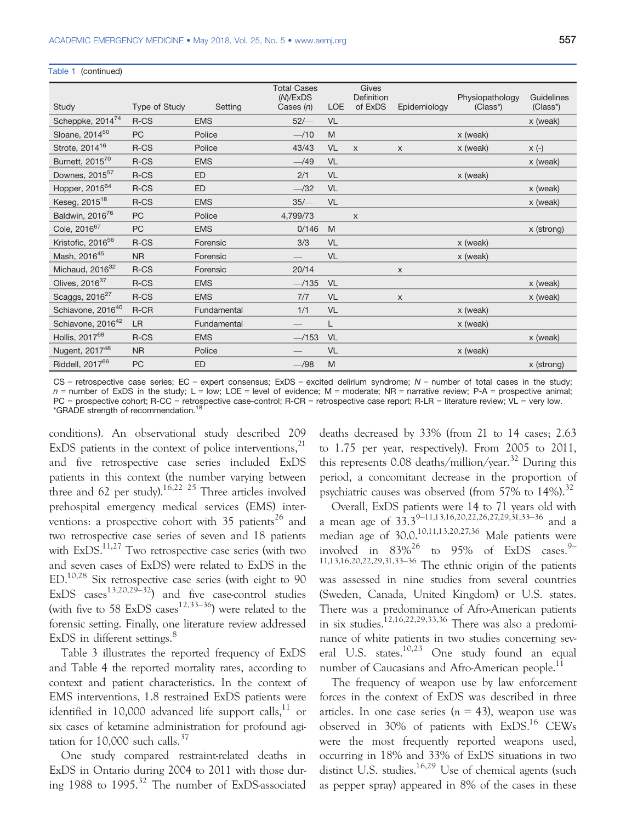Table 1 (continued)

| Study                         | Type of Study | Setting     | <b>Total Cases</b><br>(M)/ExDS<br>Cases $(n)$                                                                                                                                                                                                                                                                                                                                                 | <b>LOE</b> | Gives<br><b>Definition</b><br>of ExDS | Epidemiology | Physiopathology<br>(Class*) | Guidelines<br>(Class*) |
|-------------------------------|---------------|-------------|-----------------------------------------------------------------------------------------------------------------------------------------------------------------------------------------------------------------------------------------------------------------------------------------------------------------------------------------------------------------------------------------------|------------|---------------------------------------|--------------|-----------------------------|------------------------|
| Scheppke, 201474              | R-CS          | <b>EMS</b>  | $52/-$                                                                                                                                                                                                                                                                                                                                                                                        | <b>VL</b>  |                                       |              |                             | x (weak)               |
| Sloane, 2014 <sup>50</sup>    | PC            | Police      | $-110$                                                                                                                                                                                                                                                                                                                                                                                        | M          |                                       |              | x (weak)                    |                        |
| Strote, 2014 <sup>16</sup>    | R-CS          | Police      | 43/43                                                                                                                                                                                                                                                                                                                                                                                         | VL         | $\mathsf{x}$                          | $\mathsf{x}$ | x (weak)                    | $x (-)$                |
| Burnett, 2015 <sup>70</sup>   | R-CS          | <b>EMS</b>  | $-$ /49                                                                                                                                                                                                                                                                                                                                                                                       | <b>VL</b>  |                                       |              |                             | x (weak)               |
| Downes, 2015 <sup>57</sup>    | R-CS          | ED          | 2/1                                                                                                                                                                                                                                                                                                                                                                                           | VL         |                                       |              | x (weak)                    |                        |
| Hopper, 2015 <sup>64</sup>    | R-CS          | <b>ED</b>   | $-$ /32                                                                                                                                                                                                                                                                                                                                                                                       | <b>VL</b>  |                                       |              |                             | x (weak)               |
| Keseg, 2015 <sup>18</sup>     | R-CS          | <b>EMS</b>  | 35/                                                                                                                                                                                                                                                                                                                                                                                           | VL         |                                       |              |                             | x (weak)               |
| Baldwin, 2016 <sup>76</sup>   | PC            | Police      | 4,799/73                                                                                                                                                                                                                                                                                                                                                                                      |            | X                                     |              |                             |                        |
| Cole, 2016 <sup>67</sup>      | <b>PC</b>     | <b>EMS</b>  | 0/146                                                                                                                                                                                                                                                                                                                                                                                         | M          |                                       |              |                             | x (strong)             |
| Kristofic, 2016 <sup>56</sup> | R-CS          | Forensic    | 3/3                                                                                                                                                                                                                                                                                                                                                                                           | VL         |                                       |              | x (weak)                    |                        |
| Mash, 2016 <sup>45</sup>      | <b>NR</b>     | Forensic    | $\hspace{1.0cm} \overline{\hspace{1.0cm} \hspace{1.0cm} \hspace{1.0cm} } \hspace{1.0cm} \hspace{1.0cm} \overline{\hspace{1.0cm} \hspace{1.0cm} \hspace{1.0cm} } \hspace{1.0cm} \hspace{1.0cm} \overline{\hspace{1.0cm} \hspace{1.0cm} \hspace{1.0cm} } \hspace{1.0cm} \hspace{1.0cm} \overline{\hspace{1.0cm} \hspace{1.0cm} \hspace{1.0cm} } \hspace{1.0cm} \hspace{1.0cm} \hspace{1.0cm} }$ | <b>VL</b>  |                                       |              | x (weak)                    |                        |
| Michaud, 2016 <sup>32</sup>   | R-CS          | Forensic    | 20/14                                                                                                                                                                                                                                                                                                                                                                                         |            |                                       | $\mathsf{x}$ |                             |                        |
| Olives, $2016^{37}$           | R-CS          | <b>EMS</b>  | $-135$                                                                                                                                                                                                                                                                                                                                                                                        | VL         |                                       |              |                             | x (weak)               |
| Scaggs, 2016 <sup>27</sup>    | R-CS          | <b>EMS</b>  | 7/7                                                                                                                                                                                                                                                                                                                                                                                           | <b>VL</b>  |                                       | $\mathsf{x}$ |                             | x (weak)               |
| Schiavone, 2016 <sup>40</sup> | $R$ -CR       | Fundamental | 1/1                                                                                                                                                                                                                                                                                                                                                                                           | <b>VL</b>  |                                       |              | x (weak)                    |                        |
| Schiavone, 2016 <sup>42</sup> | LR            | Fundamental |                                                                                                                                                                                                                                                                                                                                                                                               | L          |                                       |              | x (weak)                    |                        |
| Hollis, 2017 <sup>68</sup>    | R-CS          | <b>EMS</b>  | $-$ /153                                                                                                                                                                                                                                                                                                                                                                                      | VL         |                                       |              |                             | x (weak)               |
| Nugent, 2017 <sup>46</sup>    | <b>NR</b>     | Police      |                                                                                                                                                                                                                                                                                                                                                                                               | <b>VL</b>  |                                       |              | x (weak)                    |                        |
| Riddell, 2017 <sup>66</sup>   | PC            | <b>ED</b>   | $-$ /98                                                                                                                                                                                                                                                                                                                                                                                       | M          |                                       |              |                             | x (strong)             |

 $CS$  = retrospective case series; EC = expert consensus; ExDS = excited delirium syndrome; N = number of total cases in the study;  $n =$  number of ExDS in the study; L = low; LOE = level of evidence; M = moderate; NR = narrative review; P-A = prospective animal; PC = prospective cohort; R-CC = retrospective case-control; R-CR = retrospective case report; R-LR = literature review; VL = very low. \*GRADE strength of recommendation.<sup>18</sup>

conditions). An observational study described 209 ExDS patients in the context of police interventions, $^{21}$ and five retrospective case series included ExDS patients in this context (the number varying between three and 62 per study).<sup>16,22–25</sup> Three articles involved prehospital emergency medical services (EMS) interventions: a prospective cohort with  $35$  patients<sup>26</sup> and two retrospective case series of seven and 18 patients with  $ExDS^{11,27}$  Two retrospective case series (with two and seven cases of ExDS) were related to ExDS in the ED.10,28 Six retrospective case series (with eight to 90 ExDS cases<sup>13,20,29–32</sup>) and five case-control studies (with five to 58 ExDS cases<sup>12,33–36</sup>) were related to the forensic setting. Finally, one literature review addressed ExDS in different settings.<sup>8</sup>

Table 3 illustrates the reported frequency of ExDS and Table 4 the reported mortality rates, according to context and patient characteristics. In the context of EMS interventions, 1.8 restrained ExDS patients were identified in 10,000 advanced life support calls, $^{11}$  or six cases of ketamine administration for profound agitation for  $10,000$  such calls.<sup>37</sup>

One study compared restraint-related deaths in ExDS in Ontario during 2004 to 2011 with those during 1988 to 1995.<sup>32</sup> The number of ExDS-associated deaths decreased by 33% (from 21 to 14 cases; 2.63 to 1.75 per year, respectively). From 2005 to 2011, this represents  $0.08$  deaths/million/year.<sup>32</sup> During this period, a concomitant decrease in the proportion of psychiatric causes was observed (from 57% to  $14\%$ ).<sup>32</sup>

Overall, ExDS patients were 14 to 71 years old with a mean age of 33.3<sup>9–11,13,16,20,22,26,27,29,31,33–36</sup> and a median age of 30.0.10,11,13,20,27,36 Male patients were involved in  $83\%^{26}$  to 95% of ExDS cases.  $9\%$ 11,13,16,20,22,29,31,33–<sup>36</sup> The ethnic origin of the patients was assessed in nine studies from several countries (Sweden, Canada, United Kingdom) or U.S. states. There was a predominance of Afro-American patients in six studies.12,16,22,29,33,36 There was also a predominance of white patients in two studies concerning several U.S. states.<sup>10,23</sup> One study found an equal number of Caucasians and Afro-American people.<sup>11</sup>

The frequency of weapon use by law enforcement forces in the context of ExDS was described in three articles. In one case series  $(n = 43)$ , weapon use was observed in 30% of patients with ExDS.<sup>16</sup> CEWs were the most frequently reported weapons used, occurring in 18% and 33% of ExDS situations in two distinct U.S. studies.<sup>16,29</sup> Use of chemical agents (such as pepper spray) appeared in 8% of the cases in these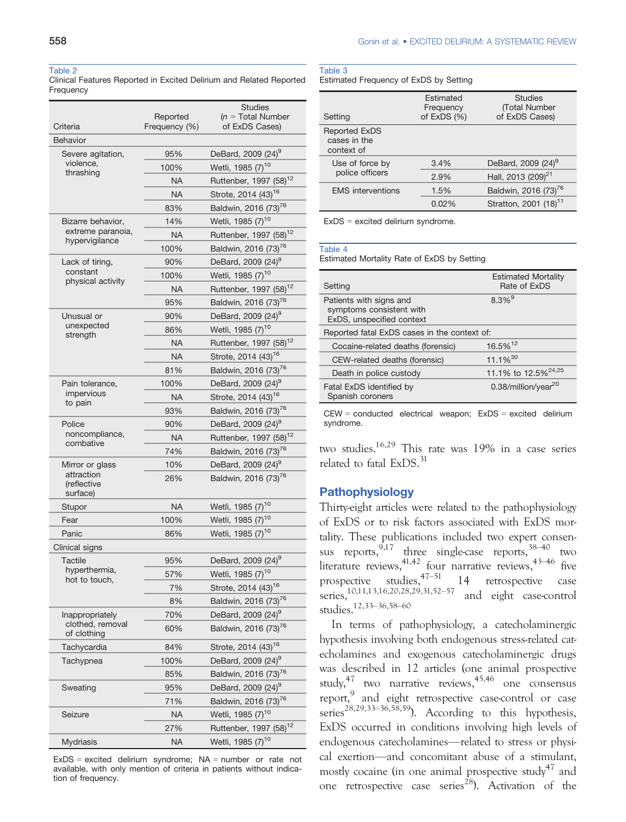#### Table 2

Clinical Features Reported in Excited Delirium and Related Reported Frequency

| Criteria                            | Reported<br>Frequency (%) | <b>Studies</b><br>$(n = Total Number)$<br>of ExDS Cases)             |
|-------------------------------------|---------------------------|----------------------------------------------------------------------|
| <b>Behavior</b>                     |                           |                                                                      |
| Severe agitation,                   | 95%                       | DeBard, 2009 (24) <sup>9</sup>                                       |
| violence,                           | 100%                      | Wetli, 1985 (7) <sup>10</sup>                                        |
| thrashing                           | <b>NA</b>                 | Ruttenber, 1997 (58) <sup>12</sup>                                   |
|                                     | <b>NA</b>                 | Strote, 2014 (43) <sup>16</sup>                                      |
|                                     | 83%                       | Baldwin, 2016 (73) <sup>76</sup>                                     |
| Bizarre behavior,                   | 14%                       | Wetli, 1985 (7) <sup>10</sup>                                        |
| extreme paranoia,<br>hypervigilance | <b>NA</b>                 | Ruttenber, 1997 (58) <sup>12</sup>                                   |
|                                     | 100%                      | Baldwin, 2016 (73) <sup>76</sup>                                     |
| Lack of tiring,                     | 90%                       | DeBard, 2009 (24) <sup>9</sup>                                       |
| constant<br>physical activity       | 100%                      | Wetli, 1985 (7) <sup>10</sup>                                        |
|                                     | <b>NA</b>                 | Ruttenber, 1997 (58) <sup>12</sup>                                   |
|                                     | 95%                       | Baldwin, 2016 (73) <sup>76</sup>                                     |
| Unusual or<br>unexpected            | 90%                       | DeBard, 2009 (24) <sup>9</sup>                                       |
| strength                            | 86%                       | Wetli, 1985 (7) <sup>10</sup>                                        |
|                                     | NA                        | Ruttenber, 1997 (58) <sup>12</sup>                                   |
|                                     | <b>NA</b>                 | Strote, 2014 (43) <sup>16</sup>                                      |
|                                     | 81%                       | Baldwin, 2016 (73) <sup>76</sup>                                     |
| Pain tolerance,<br>impervious       | 100%                      | DeBard, 2009 (24) <sup>9</sup>                                       |
| to pain                             | <b>NA</b>                 | Strote, 2014 (43) <sup>16</sup>                                      |
|                                     | 93%                       | Baldwin, 2016 (73) <sup>76</sup>                                     |
| Police<br>noncompliance,            | 90%<br>NA                 | DeBard, 2009 (24) <sup>9</sup><br>Ruttenber, 1997 (58) <sup>12</sup> |
| combative                           | 74%                       | Baldwin, 2016 (73) <sup>76</sup>                                     |
| Mirror or glass                     | 10%                       | DeBard, 2009 (24) <sup>9</sup>                                       |
| attraction                          | 26%                       | Baldwin, 2016 (73) <sup>76</sup>                                     |
| (reflective<br>surface)             |                           |                                                                      |
| Stupor                              | <b>NA</b>                 | Wetli, 1985 (7) <sup>10</sup>                                        |
| Fear                                | 100%                      | Wetli, 1985 (7) <sup>10</sup>                                        |
| Panic                               | 86%                       | Wetli, 1985 (7) <sup>10</sup>                                        |
| Clinical signs                      |                           |                                                                      |
| Tactile                             | 95%                       | DeBard, 2009 (24) <sup>9</sup>                                       |
| hyperthermia,                       | 57%                       | Wetli, 1985 (7) <sup>10</sup>                                        |
| hot to touch,                       | 7%                        | Strote, 2014 (43) <sup>16</sup>                                      |
|                                     | 8%                        | Baldwin, 2016 (73) <sup>76</sup>                                     |
| Inappropriately                     | 70%                       | DeBard, 2009 (24) <sup>9</sup>                                       |
| clothed, removal<br>of clothing     | 60%                       | Baldwin, 2016 (73) <sup>76</sup>                                     |
| Tachycardia                         | 84%                       | Strote, 2014 (43) <sup>16</sup>                                      |
| Tachypnea                           | 100%                      | DeBard, 2009 (24) <sup>9</sup>                                       |
|                                     | 85%                       | Baldwin, 2016 (73) <sup>76</sup>                                     |
| Sweating                            | 95%                       | DeBard, 2009 (24) <sup>9</sup>                                       |
|                                     | 71%                       | Baldwin, 2016 (73) <sup>76</sup>                                     |
| Seizure                             | NA                        | Wetli, 1985 (7) <sup>10</sup>                                        |
|                                     | 27%                       | Ruttenber, 1997 (58) <sup>12</sup>                                   |
| Mydriasis                           | <b>NA</b>                 | Wetli, 1985 (7) <sup>10</sup>                                        |

 $ExDS = excited$  delirium syndrome;  $NA = number$  or rate not available, with only mention of criteria in patients without indication of frequency.

## Table 3

Estimated Frequency of ExDS by Setting

| Setting                                            | Estimated<br>Frequency<br>of $ExDS(%)$ | <b>Studies</b><br>(Total Number<br>of ExDS Cases) |
|----------------------------------------------------|----------------------------------------|---------------------------------------------------|
| <b>Reported ExDS</b><br>cases in the<br>context of |                                        |                                                   |
| Use of force by                                    | 3.4%                                   | DeBard, 2009 (24) <sup>9</sup>                    |
| police officers                                    | 2.9%                                   | Hall, 2013 (209) <sup>21</sup>                    |
| <b>EMS</b> interventions                           | 1.5%                                   | Baldwin, 2016 (73) <sup>76</sup>                  |
|                                                    | 0.02%                                  | Stratton, 2001 (18) <sup>11</sup>                 |
|                                                    |                                        |                                                   |

ExDS = excited delirium syndrome.

#### Table 4

Estimated Mortality Rate of ExDS by Setting

| Setting                                                                          | <b>Estimated Mortality</b><br>Rate of ExDS |
|----------------------------------------------------------------------------------|--------------------------------------------|
| Patients with signs and<br>symptoms consistent with<br>ExDS, unspecified context | $8.3\%$ <sup>9</sup>                       |
| Reported fatal ExDS cases in the context of:                                     |                                            |
| Cocaine-related deaths (forensic)                                                | 16.5% <sup>12</sup>                        |
| CEW-related deaths (forensic)                                                    | $11.1\%^{30}$                              |
| Death in police custody                                                          | 11.1% to 12.5% <sup>24,25</sup>            |
| Fatal ExDS identified by<br>Spanish coroners                                     | 0.38/million/year <sup>20</sup>            |

CEW = conducted electrical weapon; ExDS = excited delirium syndrome.

two studies.16,29 This rate was 19% in a case series related to fatal ExDS.<sup>31</sup>

## Pathophysiology

Thirty-eight articles were related to the pathophysiology of ExDS or to risk factors associated with ExDS mortality. These publications included two expert consensus reports,  $9,17$  three single-case reports,  $38-40$  two literature reviews,  $41,42$  four narrative reviews,  $43-46$  five prospective studies,  $47-51$  14 retrospective case series,10,11,13,16,20,28,29,31,52–<sup>57</sup> and eight case-control studies.12,33–36,58–<sup>60</sup>

In terms of pathophysiology, a catecholaminergic hypothesis involving both endogenous stress-related catecholamines and exogenous catecholaminergic drugs was described in 12 articles (one animal prospective study,  $47$  two narrative reviews,  $45,46$  one consensus report,<sup>9</sup> and eight retrospective case-control or case series<sup>28,29,33–36,58,59</sup>). According to this hypothesis, ExDS occurred in conditions involving high levels of endogenous catecholamines—related to stress or physical exertion—and concomitant abuse of a stimulant, mostly cocaine (in one animal prospective study<sup>47</sup> and one retrospective case series<sup>28</sup>). Activation of the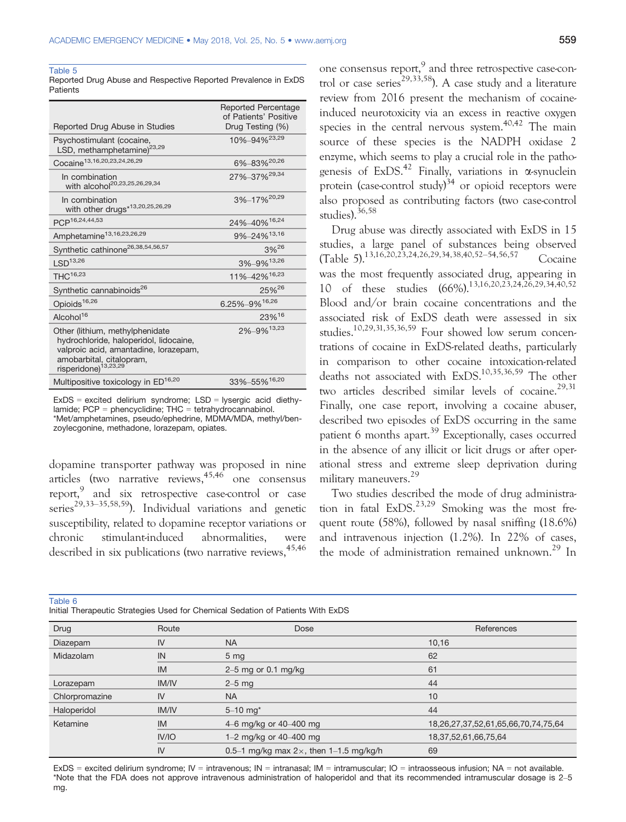Table 5

Reported Drug Abuse and Respective Reported Prevalence in ExDS **Patients** 

| Reported Drug Abuse in Studies                                                                                                                                                     | <b>Reported Percentage</b><br>of Patients' Positive<br>Drug Testing (%) |
|------------------------------------------------------------------------------------------------------------------------------------------------------------------------------------|-------------------------------------------------------------------------|
| Psychostimulant (cocaine,<br>LSD, methamphetamine) <sup>23,29</sup>                                                                                                                | 10%-94% <sup>23,29</sup>                                                |
| Cocaine <sup>13,16,20,23,24,26,29</sup>                                                                                                                                            | 6%-83% <sup>20,26</sup>                                                 |
| In combination<br>with alcohol <sup>20,23,25,26,29,34</sup>                                                                                                                        | 27%-37% <sup>29,34</sup>                                                |
| In combination<br>with other drugs*13,20,25,26,29                                                                                                                                  | 3%-17% <sup>20,29</sup>                                                 |
| PCP <sup>16,24,44,53</sup>                                                                                                                                                         | 24%-40%16,24                                                            |
| Amphetamine <sup>13,16,23,26,29</sup>                                                                                                                                              | 9%-24% <sup>13,16</sup>                                                 |
| Synthetic cathinone <sup>26,38,54,56,57</sup>                                                                                                                                      | 3%26                                                                    |
| LSD <sup>13,26</sup>                                                                                                                                                               | 3%-9%13,26                                                              |
| THC <sup>16,23</sup>                                                                                                                                                               | 11%-42% <sup>16,23</sup>                                                |
| Synthetic cannabinoids <sup>26</sup>                                                                                                                                               | 25% <sup>26</sup>                                                       |
| Opioids <sup>16,26</sup>                                                                                                                                                           | 6.25%-9%16,26                                                           |
| Alcohol <sup>16</sup>                                                                                                                                                              | 23%16                                                                   |
| Other (lithium, methylphenidate<br>hydrochloride, haloperidol, lidocaine,<br>valproic acid, amantadine, lorazepam,<br>amobarbital, citalopram,<br>risperidone) <sup>13,23,29</sup> | 2%-9%13,23                                                              |
| Multipositive toxicology in ED <sup>16,20</sup>                                                                                                                                    | 33%-55%16,20                                                            |

ExDS = excited delirium syndrome; LSD = lysergic acid diethylamide; PCP = phencyclidine; THC = tetrahydrocannabinol. \*Met/amphetamines, pseudo/ephedrine, MDMA/MDA, methyl/benzoylecgonine, methadone, lorazepam, opiates.

dopamine transporter pathway was proposed in nine articles (two narrative reviews,<sup>45,46</sup> one consensus report,<sup>9</sup> and six retrospective case-control or case series<sup>29,33–35,58,59</sup>). Individual variations and genetic susceptibility, related to dopamine receptor variations or chronic stimulant-induced abnormalities, were described in six publications (two narrative reviews, 45,46)

one consensus report,<sup>9</sup> and three retrospective case-control or case series<sup>29,33,58</sup>). A case study and a literature review from 2016 present the mechanism of cocaineinduced neurotoxicity via an excess in reactive oxygen species in the central nervous system.<sup>40,42</sup> The main source of these species is the NADPH oxidase 2 enzyme, which seems to play a crucial role in the pathogenesis of  $ExDS<sup>42</sup>$  Finally, variations in  $\alpha$ -synuclein protein (case-control study) $34$  or opioid receptors were also proposed as contributing factors (two case-control studies).36,58

Drug abuse was directly associated with ExDS in 15 studies, a large panel of substances being observed (Table 5).<sup>13,16,20,23,24,26,29,34,38,40,52–54,56,57</sup> Cocaine was the most frequently associated drug, appearing in 10 of these studies  $(66\%)$ .<sup>13,16,20,23,24,26,29,34,40,52</sup> Blood and/or brain cocaine concentrations and the associated risk of ExDS death were assessed in six studies.10,29,31,35,36,59 Four showed low serum concentrations of cocaine in ExDS-related deaths, particularly in comparison to other cocaine intoxication-related deaths not associated with ExDS.10,35,36,59 The other two articles described similar levels of cocaine.<sup>29,31</sup> Finally, one case report, involving a cocaine abuser, described two episodes of ExDS occurring in the same patient 6 months apart.<sup>39</sup> Exceptionally, cases occurred in the absence of any illicit or licit drugs or after operational stress and extreme sleep deprivation during military maneuvers.<sup>29</sup>

Two studies described the mode of drug administration in fatal  $ExDS<sup>23,29</sup>$  Smoking was the most frequent route (58%), followed by nasal sniffing (18.6%) and intravenous injection (1.2%). In 22% of cases, the mode of administration remained unknown.<sup>29</sup> In

Table 6

| Initial Therapeutic Strategies Used for Chemical Sedation of Patients With ExDS |  |  |  |
|---------------------------------------------------------------------------------|--|--|--|
|                                                                                 |  |  |  |

| Drug           | Route        | Dose                                           | References                          |
|----------------|--------------|------------------------------------------------|-------------------------------------|
| Diazepam       | IV           | <b>NA</b>                                      | 10,16                               |
| Midazolam      | IN           | 5 <sub>mg</sub>                                | 62                                  |
|                | <b>IM</b>    | $2-5$ mg or 0.1 mg/kg                          | 61                                  |
| Lorazepam      | <b>IM/IV</b> | $2-5$ mg                                       | 44                                  |
| Chlorpromazine | IV           | <b>NA</b>                                      | 10                                  |
| Haloperidol    | <b>IM/IV</b> | $5 - 10$ mg <sup>*</sup>                       | 44                                  |
| Ketamine       | IM           | 4–6 mg/kg or 40–400 mg                         | 18,26,27,37,52,61,65,66,70,74,75,64 |
|                | IV/IO        | 1–2 mg/kg or 40–400 mg                         | 18, 37, 52, 61, 66, 75, 64          |
|                | IV           | 0.5–1 mg/kg max $2\times$ , then 1–1.5 mg/kg/h | 69                                  |

ExDS = excited delirium syndrome; IV = intravenous; IN = intranasal; IM = intramuscular; IO = intraosseous infusion; NA = not available. \*Note that the FDA does not approve intravenous administration of haloperidol and that its recommended intramuscular dosage is 2–5 mg.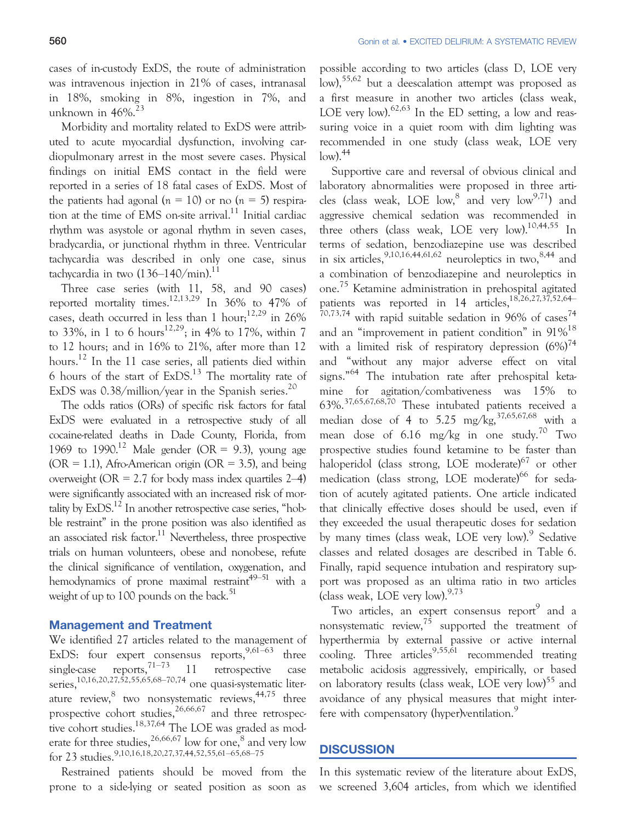cases of in-custody ExDS, the route of administration was intravenous injection in 21% of cases, intranasal in 18%, smoking in 8%, ingestion in 7%, and unknown in  $46\%$ <sup>23</sup>

Morbidity and mortality related to ExDS were attributed to acute myocardial dysfunction, involving cardiopulmonary arrest in the most severe cases. Physical findings on initial EMS contact in the field were reported in a series of 18 fatal cases of ExDS. Most of the patients had agonal ( $n = 10$ ) or no ( $n = 5$ ) respiration at the time of EMS on-site arrival.<sup>11</sup> Initial cardiac rhythm was asystole or agonal rhythm in seven cases, bradycardia, or junctional rhythm in three. Ventricular tachycardia was described in only one case, sinus tachycardia in two  $(136-140/\text{min})$ .<sup>11</sup>

Three case series (with 11, 58, and 90 cases) reported mortality times.<sup>12,13,29</sup> In  $36\%$  to 47% of cases, death occurred in less than 1 hour;  $12,29$  in 26% to 33%, in 1 to 6 hours<sup>12,29</sup>; in 4% to 17%, within 7 to 12 hours; and in 16% to 21%, after more than 12 hours.<sup>12</sup> In the 11 case series, all patients died within 6 hours of the start of  $ExDS<sup>13</sup>$ . The mortality rate of ExDS was  $0.38$ /million/year in the Spanish series.<sup>20</sup>

The odds ratios (ORs) of specific risk factors for fatal ExDS were evaluated in a retrospective study of all cocaine-related deaths in Dade County, Florida, from 1969 to 1990.<sup>12</sup> Male gender (OR = 9.3), young age  $(OR = 1.1)$ , Afro-American origin  $(OR = 3.5)$ , and being overweight ( $OR = 2.7$  for body mass index quartiles  $2-4$ ) were significantly associated with an increased risk of mortality by  $ExDS<sup>12</sup>$  In another retrospective case series, "hobble restraint" in the prone position was also identified as an associated risk factor. $11$  Nevertheless, three prospective trials on human volunteers, obese and nonobese, refute the clinical significance of ventilation, oxygenation, and hemodynamics of prone maximal restraint<sup>49–51</sup> with a weight of up to  $100$  pounds on the back.<sup>51</sup>

#### Management and Treatment

We identified 27 articles related to the management of ExDS: four expert consensus reports,  $9,61-63$  three single-case reports,  $71-73$  11 retrospective case strigic case reports,<br>series.<sup>10,16,20,27,52,55,65,68–70,74</sup> one quasi-systematic literature review, $^8$  two nonsystematic reviews,  $^{44,75}$  three prospective cohort studies,  $26,66,67$  and three retrospective cohort studies.<sup>18,37,64</sup> The LOE was graded as moderate for three studies,  $^{26,66,67}$  low for one,  $^8$  and very low for 23 studies.9,10,16,18,20,27,37,44,52,55,61–65,68–<sup>75</sup>

Restrained patients should be moved from the prone to a side-lying or seated position as soon as

possible according to two articles (class D, LOE very low),<sup>55,62</sup> but a deescalation attempt was proposed as a first measure in another two articles (class weak, LOE very low). $62,63$  In the ED setting, a low and reassuring voice in a quiet room with dim lighting was recommended in one study (class weak, LOE very  $\text{low}$ ).  $\frac{44}{3}$ 

Supportive care and reversal of obvious clinical and laboratory abnormalities were proposed in three articles (class weak, LOE  $low,^8$  and very  $low^{9,71}$ ) and aggressive chemical sedation was recommended in three others (class weak, LOE very  $\text{low}$ ).<sup>10,44,55</sup> In terms of sedation, benzodiazepine use was described in six articles,  $9,10,16,44,61,62$  neuroleptics in two,  $8,44$  and a combination of benzodiazepine and neuroleptics in one. <sup>75</sup> Ketamine administration in prehospital agitated patients was reported in 14 articles,18,26,27,37,52,64–  $70,73,74$  with rapid suitable sedation in 96% of cases<sup>74</sup> and an "improvement in patient condition" in 91%<sup>18</sup> with a limited risk of respiratory depression  $(6\%)^{74}$ and "without any major adverse effect on vital signs." <sup>64</sup> The intubation rate after prehospital ketamine for agitation/combativeness was 15% to 63%.37,65,67,68,70 These intubated patients received a median dose of 4 to 5.25 mg/kg,  $37,65,67,68$  with a mean dose of 6.16 mg/kg in one study.<sup>70</sup> Two prospective studies found ketamine to be faster than haloperidol (class strong, LOE moderate)<sup>67</sup> or other medication (class strong, LOE moderate)<sup>66</sup> for sedation of acutely agitated patients. One article indicated that clinically effective doses should be used, even if they exceeded the usual therapeutic doses for sedation by many times (class weak, LOE very low).<sup>9</sup> Sedative classes and related dosages are described in Table 6. Finally, rapid sequence intubation and respiratory support was proposed as an ultima ratio in two articles (class weak, LOE very low). $9,73$ 

Two articles, an expert consensus report<sup>9</sup> and a nonsystematic review,  $7\overline{5}$  supported the treatment of hyperthermia by external passive or active internal cooling. Three articles<sup>9,55, $\overline{61}$ </sup> recommended treating metabolic acidosis aggressively, empirically, or based on laboratory results (class weak, LOE very low)<sup>55</sup> and avoidance of any physical measures that might interfere with compensatory (hyper)ventilation.<sup>9</sup>

## **DISCUSSION**

In this systematic review of the literature about ExDS, we screened 3,604 articles, from which we identified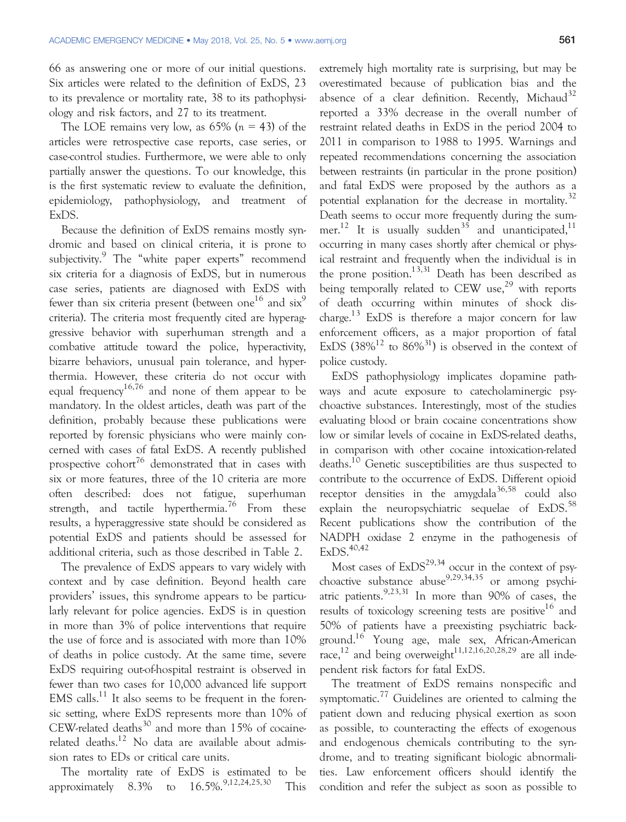66 as answering one or more of our initial questions. Six articles were related to the definition of ExDS, 23 to its prevalence or mortality rate, 38 to its pathophysiology and risk factors, and 27 to its treatment.

The LOE remains very low, as  $65\%$  ( $n = 43$ ) of the articles were retrospective case reports, case series, or case-control studies. Furthermore, we were able to only partially answer the questions. To our knowledge, this is the first systematic review to evaluate the definition, epidemiology, pathophysiology, and treatment of ExDS.

Because the definition of ExDS remains mostly syndromic and based on clinical criteria, it is prone to subjectivity.<sup>9</sup> The "white paper experts" recommend six criteria for a diagnosis of ExDS, but in numerous case series, patients are diagnosed with ExDS with fewer than six criteria present (between one<sup>16</sup> and six<sup>9</sup> criteria). The criteria most frequently cited are hyperaggressive behavior with superhuman strength and a combative attitude toward the police, hyperactivity, bizarre behaviors, unusual pain tolerance, and hyperthermia. However, these criteria do not occur with equal frequency<sup>16,76</sup> and none of them appear to be mandatory. In the oldest articles, death was part of the definition, probably because these publications were reported by forensic physicians who were mainly concerned with cases of fatal ExDS. A recently published prospective cohort<sup>76</sup> demonstrated that in cases with six or more features, three of the 10 criteria are more often described: does not fatigue, superhuman strength, and tactile hyperthermia.<sup>76</sup> From these results, a hyperaggressive state should be considered as potential ExDS and patients should be assessed for additional criteria, such as those described in Table 2.

The prevalence of ExDS appears to vary widely with context and by case definition. Beyond health care providers' issues, this syndrome appears to be particularly relevant for police agencies. ExDS is in question in more than 3% of police interventions that require the use of force and is associated with more than 10% of deaths in police custody. At the same time, severe ExDS requiring out-of-hospital restraint is observed in fewer than two cases for 10,000 advanced life support  $EMS$  calls.<sup>11</sup> It also seems to be frequent in the forensic setting, where ExDS represents more than 10% of CEW-related deaths $30$  and more than 15% of cocainerelated deaths.<sup>12</sup> No data are available about admission rates to EDs or critical care units.

The mortality rate of ExDS is estimated to be approximately  $8.3\%$  to  $16.5\%$ ,  $8.12,24,25,30$  This

extremely high mortality rate is surprising, but may be overestimated because of publication bias and the absence of a clear definition. Recently, Michaud<sup>32</sup> reported a 33% decrease in the overall number of restraint related deaths in ExDS in the period 2004 to 2011 in comparison to 1988 to 1995. Warnings and repeated recommendations concerning the association between restraints (in particular in the prone position) and fatal ExDS were proposed by the authors as a potential explanation for the decrease in mortality.<sup>32</sup> Death seems to occur more frequently during the summer.<sup>12</sup> It is usually sudden<sup>35</sup> and unanticipated,<sup>11</sup> occurring in many cases shortly after chemical or physical restraint and frequently when the individual is in the prone position.<sup>13,31</sup> Death has been described as being temporally related to CEW use, $29$  with reports of death occurring within minutes of shock discharge.<sup>13</sup> ExDS is therefore a major concern for law enforcement officers, as a major proportion of fatal ExDS  $(38\%^{12}$  to  $86\%^{31})$  is observed in the context of police custody.

ExDS pathophysiology implicates dopamine pathways and acute exposure to catecholaminergic psychoactive substances. Interestingly, most of the studies evaluating blood or brain cocaine concentrations show low or similar levels of cocaine in ExDS-related deaths, in comparison with other cocaine intoxication-related deaths.<sup>10</sup> Genetic susceptibilities are thus suspected to contribute to the occurrence of ExDS. Different opioid receptor densities in the amygdala $36,58$  could also explain the neuropsychiatric sequelae of  $ExDS.<sup>58</sup>$ Recent publications show the contribution of the NADPH oxidase 2 enzyme in the pathogenesis of  $ExDS.<sup>40,42</sup>$ 

Most cases of  $ExpS^{29,34}$  occur in the context of psychoactive substance abuse<sup>9,29,34,35</sup> or among psychiatric patients.  $9,23,31$  In more than 90% of cases, the results of toxicology screening tests are positive<sup>16</sup> and 50% of patients have a preexisting psychiatric background.<sup>16</sup> Young age, male sex, African-American race,<sup>12</sup> and being overweight<sup>11,12,16,20,28,29</sup> are all independent risk factors for fatal ExDS.

The treatment of ExDS remains nonspecific and symptomatic.<sup>77</sup> Guidelines are oriented to calming the patient down and reducing physical exertion as soon as possible, to counteracting the effects of exogenous and endogenous chemicals contributing to the syndrome, and to treating significant biologic abnormalities. Law enforcement officers should identify the condition and refer the subject as soon as possible to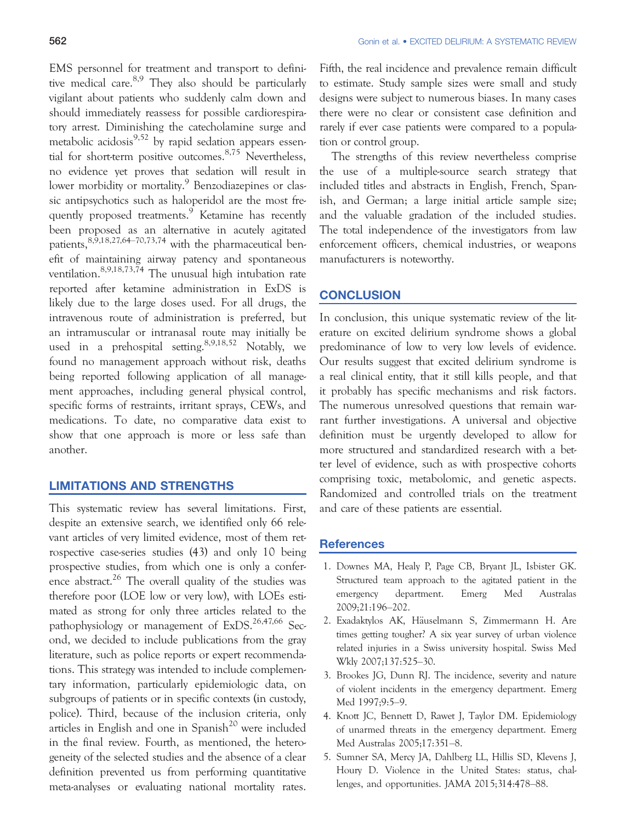EMS personnel for treatment and transport to definitive medical care.  $8.9$  They also should be particularly vigilant about patients who suddenly calm down and should immediately reassess for possible cardiorespiratory arrest. Diminishing the catecholamine surge and metabolic acidosis<sup>9,52</sup> by rapid sedation appears essential for short-term positive outcomes.  $8,75$  Nevertheless, no evidence yet proves that sedation will result in lower morbidity or mortality.<sup>9</sup> Benzodiazepines or classic antipsychotics such as haloperidol are the most frequently proposed treatments.<sup>9</sup> Ketamine has recently been proposed as an alternative in acutely agitated patients,  $8,9,18,27,64$ -70,73,74 with the pharmaceutical benefit of maintaining airway patency and spontaneous ventilation.8,9,18,73,74 The unusual high intubation rate reported after ketamine administration in ExDS is likely due to the large doses used. For all drugs, the intravenous route of administration is preferred, but an intramuscular or intranasal route may initially be used in a prehospital setting. 8,9,18,52 Notably, we found no management approach without risk, deaths being reported following application of all management approaches, including general physical control, specific forms of restraints, irritant sprays, CEWs, and medications. To date, no comparative data exist to show that one approach is more or less safe than another.

#### LIMITATIONS AND STRENGTHS

This systematic review has several limitations. First, despite an extensive search, we identified only 66 relevant articles of very limited evidence, most of them retrospective case-series studies (43) and only 10 being prospective studies, from which one is only a conference abstract.<sup>26</sup> The overall quality of the studies was therefore poor (LOE low or very low), with LOEs estimated as strong for only three articles related to the pathophysiology or management of  $ExDS$ <sup>26,47,66</sup> Second, we decided to include publications from the gray literature, such as police reports or expert recommendations. This strategy was intended to include complementary information, particularly epidemiologic data, on subgroups of patients or in specific contexts (in custody, police). Third, because of the inclusion criteria, only articles in English and one in Spanish<sup>20</sup> were included in the final review. Fourth, as mentioned, the heterogeneity of the selected studies and the absence of a clear definition prevented us from performing quantitative meta-analyses or evaluating national mortality rates. Fifth, the real incidence and prevalence remain difficult to estimate. Study sample sizes were small and study designs were subject to numerous biases. In many cases there were no clear or consistent case definition and rarely if ever case patients were compared to a population or control group.

The strengths of this review nevertheless comprise the use of a multiple-source search strategy that included titles and abstracts in English, French, Spanish, and German; a large initial article sample size; and the valuable gradation of the included studies. The total independence of the investigators from law enforcement officers, chemical industries, or weapons manufacturers is noteworthy.

#### **CONCLUSION**

In conclusion, this unique systematic review of the literature on excited delirium syndrome shows a global predominance of low to very low levels of evidence. Our results suggest that excited delirium syndrome is a real clinical entity, that it still kills people, and that it probably has specific mechanisms and risk factors. The numerous unresolved questions that remain warrant further investigations. A universal and objective definition must be urgently developed to allow for more structured and standardized research with a better level of evidence, such as with prospective cohorts comprising toxic, metabolomic, and genetic aspects. Randomized and controlled trials on the treatment and care of these patients are essential.

#### **References**

- 1. Downes MA, Healy P, Page CB, Bryant JL, Isbister GK. Structured team approach to the agitated patient in the emergency department. Emerg Med Australas 2009;21:196–202.
- 2. Exadaktylos AK, Häuselmann S, Zimmermann H. Are times getting tougher? A six year survey of urban violence related injuries in a Swiss university hospital. Swiss Med Wkly 2007;137:525–30.
- 3. Brookes JG, Dunn RJ. The incidence, severity and nature of violent incidents in the emergency department. Emerg Med 1997;9:5–9.
- 4. Knott JC, Bennett D, Rawet J, Taylor DM. Epidemiology of unarmed threats in the emergency department. Emerg Med Australas 2005;17:351–8.
- 5. Sumner SA, Mercy JA, Dahlberg LL, Hillis SD, Klevens J, Houry D. Violence in the United States: status, challenges, and opportunities. JAMA 2015;314:478–88.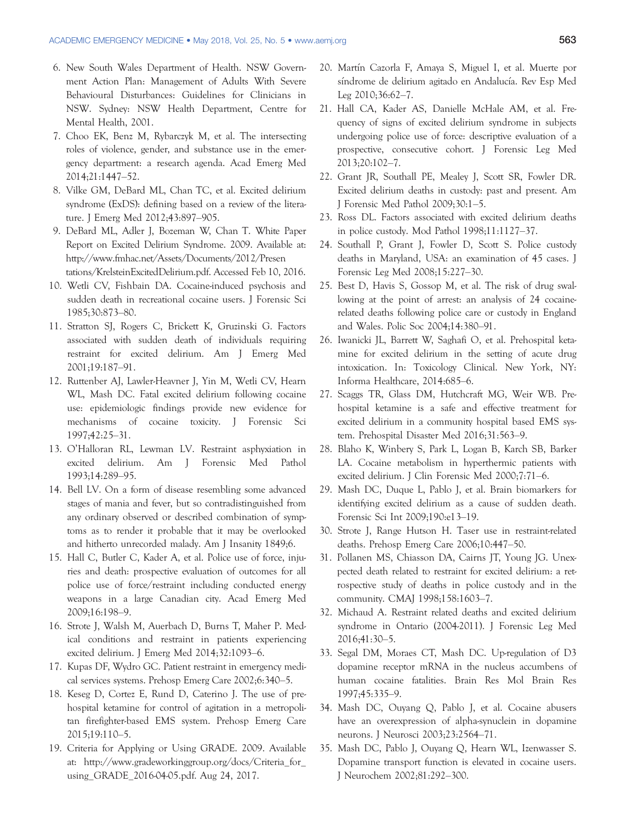- 6. New South Wales Department of Health. NSW Government Action Plan: Management of Adults With Severe Behavioural Disturbances: Guidelines for Clinicians in NSW. Sydney: NSW Health Department, Centre for Mental Health, 2001.
- 7. Choo EK, Benz M, Rybarczyk M, et al. The intersecting roles of violence, gender, and substance use in the emergency department: a research agenda. Acad Emerg Med 2014;21:1447–52.
- 8. Vilke GM, DeBard ML, Chan TC, et al. Excited delirium syndrome (ExDS): defining based on a review of the literature. J Emerg Med 2012;43:897–905.
- 9. DeBard ML, Adler J, Bozeman W, Chan T. White Paper Report on Excited Delirium Syndrome. 2009. Available at: [http://www.fmhac.net/Assets/Documents/2012/Presen](http://www.fmhac.net/Assets/Documents/2012/Presentations/KrelsteinExcitedDelirium.pdf) [tations/KrelsteinExcitedDelirium.pdf](http://www.fmhac.net/Assets/Documents/2012/Presentations/KrelsteinExcitedDelirium.pdf). Accessed Feb 10, 2016.
- 10. Wetli CV, Fishbain DA. Cocaine-induced psychosis and sudden death in recreational cocaine users. J Forensic Sci 1985;30:873–80.
- 11. Stratton SJ, Rogers C, Brickett K, Gruzinski G. Factors associated with sudden death of individuals requiring restraint for excited delirium. Am J Emerg Med 2001;19:187–91.
- 12. Ruttenber AJ, Lawler-Heavner J, Yin M, Wetli CV, Hearn WL, Mash DC. Fatal excited delirium following cocaine use: epidemiologic findings provide new evidence for mechanisms of cocaine toxicity. J Forensic Sci 1997;42:25–31.
- 13. O'Halloran RL, Lewman LV. Restraint asphyxiation in excited delirium. Am J Forensic Med Pathol 1993;14:289–95.
- 14. Bell LV. On a form of disease resembling some advanced stages of mania and fever, but so contradistinguished from any ordinary observed or described combination of symptoms as to render it probable that it may be overlooked and hitherto unrecorded malady. Am J Insanity 1849;6.
- 15. Hall C, Butler C, Kader A, et al. Police use of force, injuries and death: prospective evaluation of outcomes for all police use of force/restraint including conducted energy weapons in a large Canadian city. Acad Emerg Med 2009;16:198–9.
- 16. Strote J, Walsh M, Auerbach D, Burns T, Maher P. Medical conditions and restraint in patients experiencing excited delirium. J Emerg Med 2014;32:1093–6.
- 17. Kupas DF, Wydro GC. Patient restraint in emergency medical services systems. Prehosp Emerg Care 2002;6:340–5.
- 18. Keseg D, Cortez E, Rund D, Caterino J. The use of prehospital ketamine for control of agitation in a metropolitan firefighter-based EMS system. Prehosp Emerg Care 2015;19:110–5.
- 19. Criteria for Applying or Using GRADE. 2009. Available at: [http://www.gradeworkinggroup.org/docs/Criteria\\_for\\_](http://www.gradeworkinggroup.org/docs/Criteria_for_using_GRADE_2016-04-05.pdf) [using\\_GRADE\\_2016-04-05.pdf.](http://www.gradeworkinggroup.org/docs/Criteria_for_using_GRADE_2016-04-05.pdf) Aug 24, 2017.
- 20. Martín Cazorla F, Amaya S, Miguel I, et al. Muerte por síndrome de delirium agitado en Andalucía. Rev Esp Med Leg 2010;36:62–7.
- 21. Hall CA, Kader AS, Danielle McHale AM, et al. Frequency of signs of excited delirium syndrome in subjects undergoing police use of force: descriptive evaluation of a prospective, consecutive cohort. J Forensic Leg Med 2013;20:102–7.
- 22. Grant JR, Southall PE, Mealey J, Scott SR, Fowler DR. Excited delirium deaths in custody: past and present. Am J Forensic Med Pathol 2009;30:1–5.
- 23. Ross DL. Factors associated with excited delirium deaths in police custody. Mod Pathol 1998;11:1127–37.
- 24. Southall P, Grant J, Fowler D, Scott S. Police custody deaths in Maryland, USA: an examination of 45 cases. J Forensic Leg Med 2008;15:227–30.
- 25. Best D, Havis S, Gossop M, et al. The risk of drug swallowing at the point of arrest: an analysis of 24 cocainerelated deaths following police care or custody in England and Wales. Polic Soc 2004;14:380–91.
- 26. Iwanicki JL, Barrett W, Saghafi O, et al. Prehospital ketamine for excited delirium in the setting of acute drug intoxication. In: Toxicology Clinical. New York, NY: Informa Healthcare, 2014:685–6.
- 27. Scaggs TR, Glass DM, Hutchcraft MG, Weir WB. Prehospital ketamine is a safe and effective treatment for excited delirium in a community hospital based EMS system. Prehospital Disaster Med 2016;31:563–9.
- 28. Blaho K, Winbery S, Park L, Logan B, Karch SB, Barker LA. Cocaine metabolism in hyperthermic patients with excited delirium. J Clin Forensic Med 2000;7:71–6.
- 29. Mash DC, Duque L, Pablo J, et al. Brain biomarkers for identifying excited delirium as a cause of sudden death. Forensic Sci Int 2009;190:e13–19.
- 30. Strote J, Range Hutson H. Taser use in restraint-related deaths. Prehosp Emerg Care 2006;10:447–50.
- 31. Pollanen MS, Chiasson DA, Cairns JT, Young JG. Unexpected death related to restraint for excited delirium: a retrospective study of deaths in police custody and in the community. CMAJ 1998;158:1603–7.
- 32. Michaud A. Restraint related deaths and excited delirium syndrome in Ontario (2004-2011). J Forensic Leg Med 2016;41:30–5.
- 33. Segal DM, Moraes CT, Mash DC. Up-regulation of D3 dopamine receptor mRNA in the nucleus accumbens of human cocaine fatalities. Brain Res Mol Brain Res 1997;45:335–9.
- 34. Mash DC, Ouyang Q, Pablo J, et al. Cocaine abusers have an overexpression of alpha-synuclein in dopamine neurons. J Neurosci 2003;23:2564–71.
- 35. Mash DC, Pablo J, Ouyang Q, Hearn WL, Izenwasser S. Dopamine transport function is elevated in cocaine users. J Neurochem 2002;81:292–300.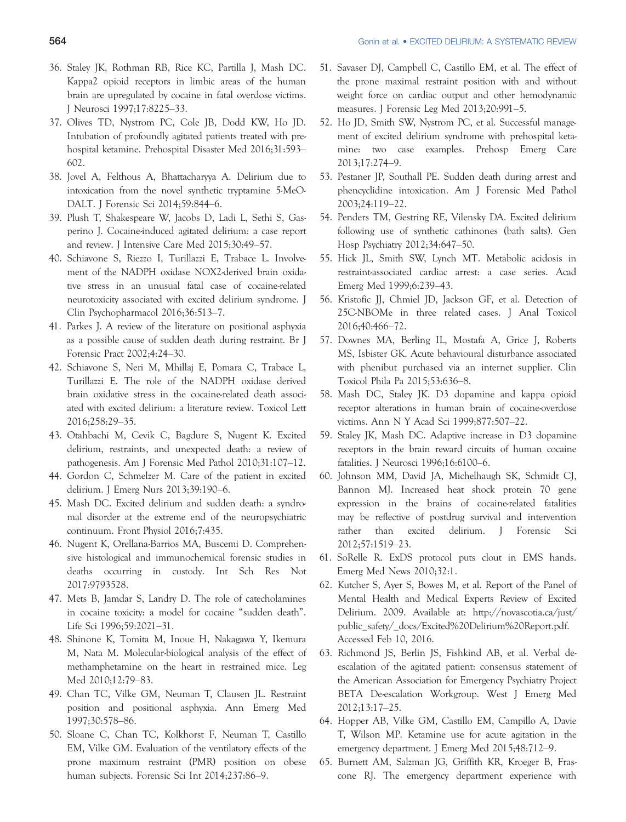- 36. Staley JK, Rothman RB, Rice KC, Partilla J, Mash DC. Kappa2 opioid receptors in limbic areas of the human brain are upregulated by cocaine in fatal overdose victims. J Neurosci 1997;17:8225–33.
- 37. Olives TD, Nystrom PC, Cole JB, Dodd KW, Ho JD. Intubation of profoundly agitated patients treated with prehospital ketamine. Prehospital Disaster Med 2016;31:593– 602.
- 38. Jovel A, Felthous A, Bhattacharyya A. Delirium due to intoxication from the novel synthetic tryptamine 5-MeO-DALT. J Forensic Sci 2014;59:844–6.
- 39. Plush T, Shakespeare W, Jacobs D, Ladi L, Sethi S, Gasperino J. Cocaine-induced agitated delirium: a case report and review. J Intensive Care Med 2015;30:49–57.
- 40. Schiavone S, Riezzo I, Turillazzi E, Trabace L. Involvement of the NADPH oxidase NOX2-derived brain oxidative stress in an unusual fatal case of cocaine-related neurotoxicity associated with excited delirium syndrome. J Clin Psychopharmacol 2016;36:513–7.
- 41. Parkes J. A review of the literature on positional asphyxia as a possible cause of sudden death during restraint. Br J Forensic Pract 2002;4:24–30.
- 42. Schiavone S, Neri M, Mhillaj E, Pomara C, Trabace L, Turillazzi E. The role of the NADPH oxidase derived brain oxidative stress in the cocaine-related death associated with excited delirium: a literature review. Toxicol Lett 2016;258:29–35.
- 43. Otahbachi M, Cevik C, Bagdure S, Nugent K. Excited delirium, restraints, and unexpected death: a review of pathogenesis. Am J Forensic Med Pathol 2010;31:107–12.
- 44. Gordon C, Schmelzer M. Care of the patient in excited delirium. J Emerg Nurs 2013;39:190–6.
- 45. Mash DC. Excited delirium and sudden death: a syndromal disorder at the extreme end of the neuropsychiatric continuum. Front Physiol 2016;7:435.
- 46. Nugent K, Orellana-Barrios MA, Buscemi D. Comprehensive histological and immunochemical forensic studies in deaths occurring in custody. Int Sch Res Not 2017:9793528.
- 47. Mets B, Jamdar S, Landry D. The role of catecholamines in cocaine toxicity: a model for cocaine "sudden death". Life Sci 1996;59:2021–31.
- 48. Shinone K, Tomita M, Inoue H, Nakagawa Y, Ikemura M, Nata M. Molecular-biological analysis of the effect of methamphetamine on the heart in restrained mice. Leg Med 2010;12:79–83.
- 49. Chan TC, Vilke GM, Neuman T, Clausen JL. Restraint position and positional asphyxia. Ann Emerg Med 1997;30:578–86.
- 50. Sloane C, Chan TC, Kolkhorst F, Neuman T, Castillo EM, Vilke GM. Evaluation of the ventilatory effects of the prone maximum restraint (PMR) position on obese human subjects. Forensic Sci Int 2014;237:86–9.
- 51. Savaser DJ, Campbell C, Castillo EM, et al. The effect of the prone maximal restraint position with and without weight force on cardiac output and other hemodynamic measures. J Forensic Leg Med 2013;20:991–5.
- 52. Ho JD, Smith SW, Nystrom PC, et al. Successful management of excited delirium syndrome with prehospital ketamine: two case examples. Prehosp Emerg Care 2013;17:274–9.
- 53. Pestaner JP, Southall PE. Sudden death during arrest and phencyclidine intoxication. Am J Forensic Med Pathol 2003;24:119–22.
- 54. Penders TM, Gestring RE, Vilensky DA. Excited delirium following use of synthetic cathinones (bath salts). Gen Hosp Psychiatry 2012;34:647–50.
- 55. Hick JL, Smith SW, Lynch MT. Metabolic acidosis in restraint-associated cardiac arrest: a case series. Acad Emerg Med 1999;6:239–43.
- 56. Kristofic JJ, Chmiel JD, Jackson GF, et al. Detection of 25C-NBOMe in three related cases. J Anal Toxicol 2016;40:466–72.
- 57. Downes MA, Berling IL, Mostafa A, Grice J, Roberts MS, Isbister GK. Acute behavioural disturbance associated with phenibut purchased via an internet supplier. Clin Toxicol Phila Pa 2015;53:636–8.
- 58. Mash DC, Staley JK. D3 dopamine and kappa opioid receptor alterations in human brain of cocaine-overdose victims. Ann N Y Acad Sci 1999;877:507–22.
- 59. Staley JK, Mash DC. Adaptive increase in D3 dopamine receptors in the brain reward circuits of human cocaine fatalities. J Neurosci 1996;16:6100–6.
- 60. Johnson MM, David JA, Michelhaugh SK, Schmidt CJ, Bannon MJ. Increased heat shock protein 70 gene expression in the brains of cocaine-related fatalities may be reflective of postdrug survival and intervention rather than excited delirium. J Forensic Sci 2012;57:1519–23.
- 61. SoRelle R. ExDS protocol puts clout in EMS hands. Emerg Med News 2010;32:1.
- 62. Kutcher S, Ayer S, Bowes M, et al. Report of the Panel of Mental Health and Medical Experts Review of Excited Delirium. 2009. Available at: [http://novascotia.ca/just/](http://novascotia.ca/just/public_safety/_docs/Excited%20Delirium%20Report.pdf) [public\\_safety/\\_docs/Excited%20Delirium%20Report.pdf](http://novascotia.ca/just/public_safety/_docs/Excited%20Delirium%20Report.pdf). Accessed Feb 10, 2016.
- 63. Richmond JS, Berlin JS, Fishkind AB, et al. Verbal deescalation of the agitated patient: consensus statement of the American Association for Emergency Psychiatry Project BETA De-escalation Workgroup. West J Emerg Med 2012;13:17–25.
- 64. Hopper AB, Vilke GM, Castillo EM, Campillo A, Davie T, Wilson MP. Ketamine use for acute agitation in the emergency department. J Emerg Med 2015;48:712–9.
- 65. Burnett AM, Salzman JG, Griffith KR, Kroeger B, Frascone RJ. The emergency department experience with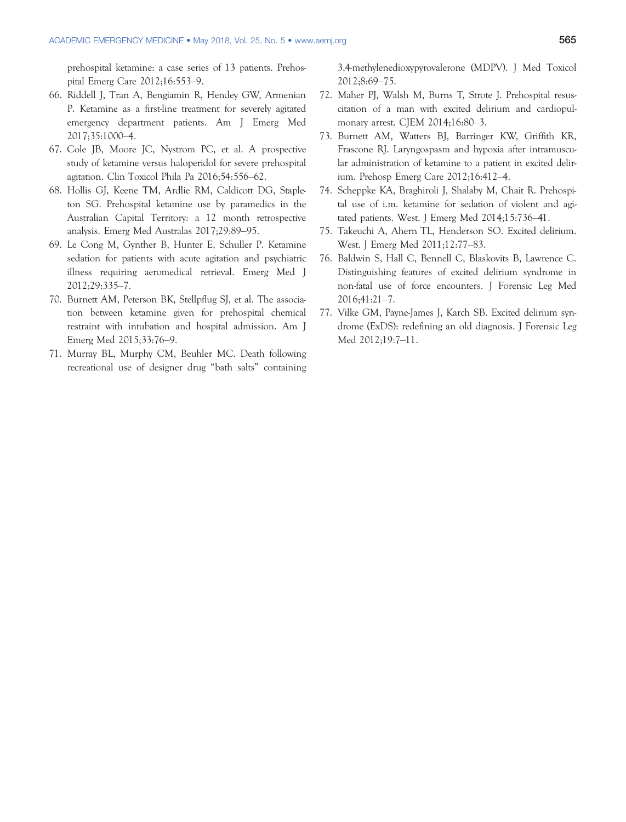prehospital ketamine: a case series of 13 patients. Prehospital Emerg Care 2012;16:553–9.

- 66. Riddell J, Tran A, Bengiamin R, Hendey GW, Armenian P. Ketamine as a first-line treatment for severely agitated emergency department patients. Am J Emerg Med 2017;35:1000–4.
- 67. Cole JB, Moore JC, Nystrom PC, et al. A prospective study of ketamine versus haloperidol for severe prehospital agitation. Clin Toxicol Phila Pa 2016;54:556–62.
- 68. Hollis GJ, Keene TM, Ardlie RM, Caldicott DG, Stapleton SG. Prehospital ketamine use by paramedics in the Australian Capital Territory: a 12 month retrospective analysis. Emerg Med Australas 2017;29:89–95.
- 69. Le Cong M, Gynther B, Hunter E, Schuller P. Ketamine sedation for patients with acute agitation and psychiatric illness requiring aeromedical retrieval. Emerg Med J 2012;29:335–7.
- 70. Burnett AM, Peterson BK, Stellpflug SJ, et al. The association between ketamine given for prehospital chemical restraint with intubation and hospital admission. Am J Emerg Med 2015;33:76–9.
- 71. Murray BL, Murphy CM, Beuhler MC. Death following recreational use of designer drug "bath salts" containing

3,4-methylenedioxypyrovalerone (MDPV). J Med Toxicol 2012;8:69–75.

- 72. Maher PJ, Walsh M, Burns T, Strote J. Prehospital resuscitation of a man with excited delirium and cardiopulmonary arrest. CJEM 2014;16:80–3.
- 73. Burnett AM, Watters BJ, Barringer KW, Griffith KR, Frascone RJ. Laryngospasm and hypoxia after intramuscular administration of ketamine to a patient in excited delirium. Prehosp Emerg Care 2012;16:412–4.
- 74. Scheppke KA, Braghiroli J, Shalaby M, Chait R. Prehospital use of i.m. ketamine for sedation of violent and agitated patients. West. J Emerg Med 2014;15:736–41.
- 75. Takeuchi A, Ahern TL, Henderson SO. Excited delirium. West. J Emerg Med 2011;12:77–83.
- 76. Baldwin S, Hall C, Bennell C, Blaskovits B, Lawrence C. Distinguishing features of excited delirium syndrome in non-fatal use of force encounters. J Forensic Leg Med 2016;41:21–7.
- 77. Vilke GM, Payne-James J, Karch SB. Excited delirium syndrome (ExDS): redefining an old diagnosis. J Forensic Leg Med 2012;19:7–11.